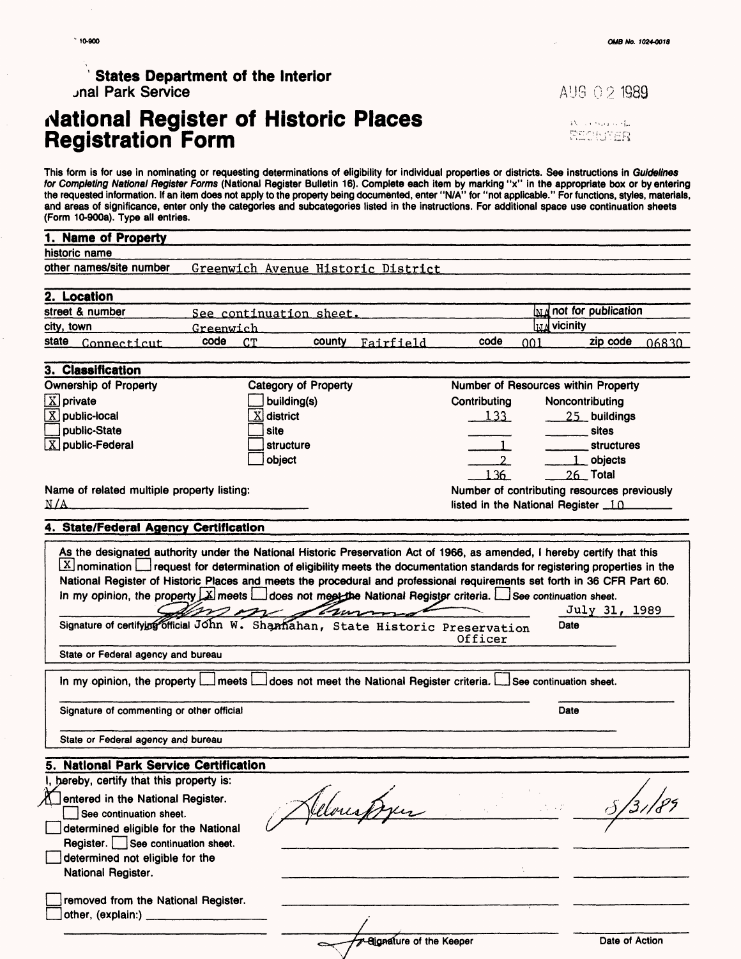#### $^{\circ}$  10-900

### **States Department of the Interior** jnal Park Service

## **National Register of Historic Places Registration Form**

AUG 02 1989

بيؤت وتركبت كع SECONDER

This form is for use in nominating or requesting determinations of eligibility for individual properties or districts. See instructions in Guidelines for Completing National Register Forms (National Register Bulletin 16). Complete each item by marking "x" in the appropriate box or by entering the requested information. If an item does not apply to the property being documented, enter "N/A" for "not applicable." For functions, styles, materials, and areas of significance, enter only the categories and subcategories listed in the instructions. For additional space use continuation sheets (Form 10-900a). Type all entries.

| <b>Name of Property</b>                                                                                                                                                                                                                                                                                                                                                                                                                                                                                                                                                                                                                                                                  |                                    |        |           |                                             |                                         |                                  |       |
|------------------------------------------------------------------------------------------------------------------------------------------------------------------------------------------------------------------------------------------------------------------------------------------------------------------------------------------------------------------------------------------------------------------------------------------------------------------------------------------------------------------------------------------------------------------------------------------------------------------------------------------------------------------------------------------|------------------------------------|--------|-----------|---------------------------------------------|-----------------------------------------|----------------------------------|-------|
| historic name                                                                                                                                                                                                                                                                                                                                                                                                                                                                                                                                                                                                                                                                            |                                    |        |           |                                             |                                         |                                  |       |
| other names/site number                                                                                                                                                                                                                                                                                                                                                                                                                                                                                                                                                                                                                                                                  | Greenwich Avenue Historic District |        |           |                                             |                                         |                                  |       |
| 2. Location                                                                                                                                                                                                                                                                                                                                                                                                                                                                                                                                                                                                                                                                              |                                    |        |           |                                             |                                         |                                  |       |
| street & number                                                                                                                                                                                                                                                                                                                                                                                                                                                                                                                                                                                                                                                                          | See continuation sheet.            |        |           |                                             |                                         | $\mathbf{M}$ and for publication |       |
| city, town                                                                                                                                                                                                                                                                                                                                                                                                                                                                                                                                                                                                                                                                               | Greenwich                          |        |           |                                             | l <b>i</b> J⊿ vicinity                  |                                  |       |
| state<br>Connecticut                                                                                                                                                                                                                                                                                                                                                                                                                                                                                                                                                                                                                                                                     | code<br>CT.                        | county | Fairfield | code                                        | 001                                     | zip code                         | 06830 |
| 3. Classification                                                                                                                                                                                                                                                                                                                                                                                                                                                                                                                                                                                                                                                                        |                                    |        |           |                                             |                                         |                                  |       |
| <b>Ownership of Property</b>                                                                                                                                                                                                                                                                                                                                                                                                                                                                                                                                                                                                                                                             | <b>Category of Property</b>        |        |           | Number of Resources within Property         |                                         |                                  |       |
| $\overline{X}$ private                                                                                                                                                                                                                                                                                                                                                                                                                                                                                                                                                                                                                                                                   | building(s)                        |        |           | Contributing                                | Noncontributing                         |                                  |       |
| $X$ public-local                                                                                                                                                                                                                                                                                                                                                                                                                                                                                                                                                                                                                                                                         | $X$ district                       |        |           | 133                                         |                                         | 25 buildings                     |       |
| public-State                                                                                                                                                                                                                                                                                                                                                                                                                                                                                                                                                                                                                                                                             | site                               |        |           |                                             |                                         | sites                            |       |
| $X$ public-Federal                                                                                                                                                                                                                                                                                                                                                                                                                                                                                                                                                                                                                                                                       | structure                          |        |           |                                             |                                         | <b>structures</b>                |       |
|                                                                                                                                                                                                                                                                                                                                                                                                                                                                                                                                                                                                                                                                                          | object                             |        |           | 2 <sup>1</sup>                              |                                         | objects                          |       |
|                                                                                                                                                                                                                                                                                                                                                                                                                                                                                                                                                                                                                                                                                          |                                    |        |           | 136                                         |                                         | 26 Total                         |       |
| Name of related multiple property listing:                                                                                                                                                                                                                                                                                                                                                                                                                                                                                                                                                                                                                                               |                                    |        |           | Number of contributing resources previously |                                         |                                  |       |
| N/A                                                                                                                                                                                                                                                                                                                                                                                                                                                                                                                                                                                                                                                                                      |                                    |        |           | listed in the National Register 10          |                                         |                                  |       |
| 4. State/Federal Agency Certification                                                                                                                                                                                                                                                                                                                                                                                                                                                                                                                                                                                                                                                    |                                    |        |           |                                             |                                         |                                  |       |
| $\vert X\vert$ nomination $\vert$ request for determination of eligibility meets the documentation standards for registering properties in the<br>National Register of Historic Places and meets the procedural and professional requirements set forth in 36 CFR Part 60.<br>In my opinion, the property $\Box$ meets $\Box$ does not meet the National Register criteria. $\Box$ See continuation sheet.<br>Signature of certifying official John W. Shannahan, State Historic Preservation<br>State or Federal agency and bureau<br>In my opinion, the property $\Box$ meets $\Box$ does not meet the National Register criteria. $\Box$<br>Signature of commenting or other official |                                    | trun   |           | Officer                                     | Date<br>See continuation sheet.<br>Date | July 31, 1989                    |       |
| State or Federal agency and bureau                                                                                                                                                                                                                                                                                                                                                                                                                                                                                                                                                                                                                                                       |                                    |        |           |                                             |                                         |                                  |       |
| 5. National Park Service Certification                                                                                                                                                                                                                                                                                                                                                                                                                                                                                                                                                                                                                                                   |                                    |        |           |                                             |                                         |                                  |       |
| I, hereby, certify that this property is:                                                                                                                                                                                                                                                                                                                                                                                                                                                                                                                                                                                                                                                |                                    |        |           |                                             |                                         |                                  |       |
| entered in the National Register.<br>See continuation sheet.<br>determined eligible for the National<br>Register. See continuation sheet.<br>determined not eligible for the<br>National Register.                                                                                                                                                                                                                                                                                                                                                                                                                                                                                       |                                    |        |           |                                             |                                         |                                  |       |
| removed from the National Register.<br>other, (explain:)                                                                                                                                                                                                                                                                                                                                                                                                                                                                                                                                                                                                                                 |                                    |        |           |                                             |                                         |                                  |       |

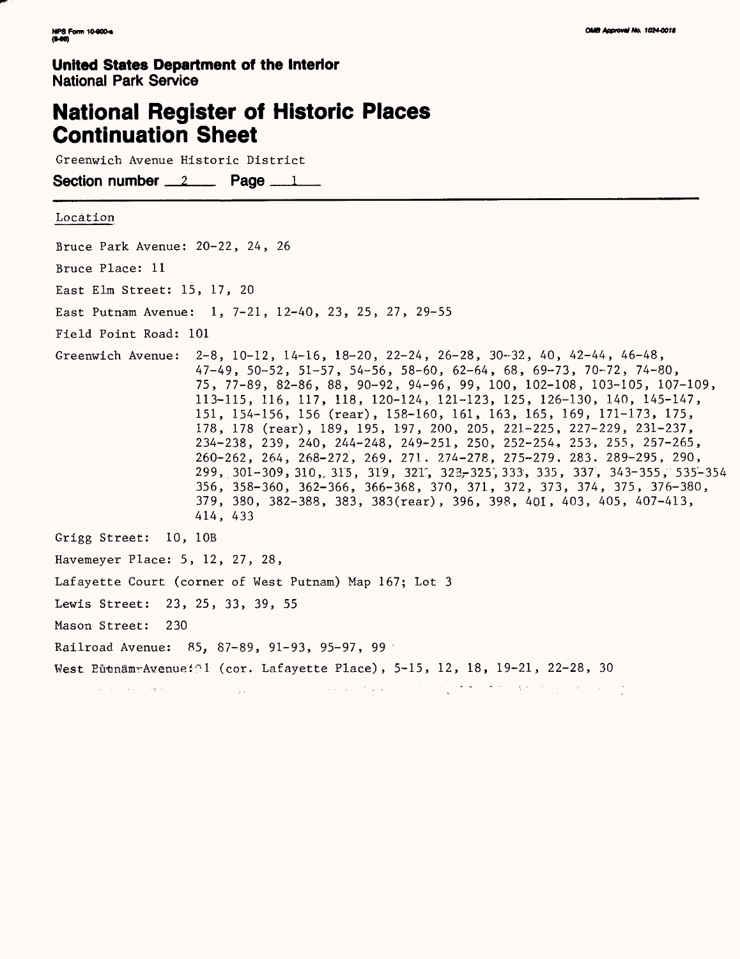# **National Register of Historic Places Continuation Sheet**

Greenwich Avenue Historic District

Section number  $2 \qquad$  Page  $1 \qquad$ 

#### Location

Bruce Park Avenue: 20-22, 24, 26 Bruce Place: 11 East Elm Street: 15, 17, 20 East Putnam Avenue: 1, 7-21, 12-40, 23, 25, 27, 29-55 Field Point Road: 101 Greenwich Avenue: 2-8, 10-12, 14-16, 18-20, 22-24, 26-28, 30-32, 40, 42-44, 46-48, 47-49, 50-52, 51-57, 54-56, 58-60, 62-64, 68, 69-73, 70-72, 74-80, 75, 77-89, 82-86, 88, 90-92, 94-96, 99, 100, 102-108, 103-105, 107-109, 113-115, 116, 117, 118, 120-124, 121-123, 125, 126-130, 140, 145-147, 151, 154-156, 156 (rear), 158-160, 161, 163, 165, 169, 171-173, 175, 178, 178 (rear), 189, 195, 197, 200, 205, 221-225, 227-229, 231-237, 234-238, 239, 240, 244-248, 249-251, 250, 252-254, 253, 255, 257-265, 260-262, 264, 268-272, 269, 271. 274-278, 275-279, 283, 289-295, 290, 299, 301-309, 310,, 315, 319, 321", 323-325^,333, 335, 337, 343-355, 535-354 356, 358-360, 362-366, 366-368, 370, 371, 372, 373, 374, 375, 376-380, 379, 380, 382-388, 383, 383(rear), 396, 398, 401, 403, 405, 407-413, 414, 433 Grigg Street: 10, 10B Havemeyer Place: 5, 12, 27, 28, Lafayette Court (corner of West Putnam) Map 167; Lot 3 Lewis Street: 23, 25, 33, 39, 55 Mason Street: 230 Railroad Avenue: 85, 87-89, 91-93, 95-97, 99 West EutnamrAvenue <sup> $\odot$ 1 (cor. Lafayette Place), 5-15, 12, 18, 19-21, 22-28, 30</sup> . The contribution of the state of the state of the state of the state of the state of the state of the state of the state of the state of the state of the state of the state of the state of the state of the state of the and a strategic company of the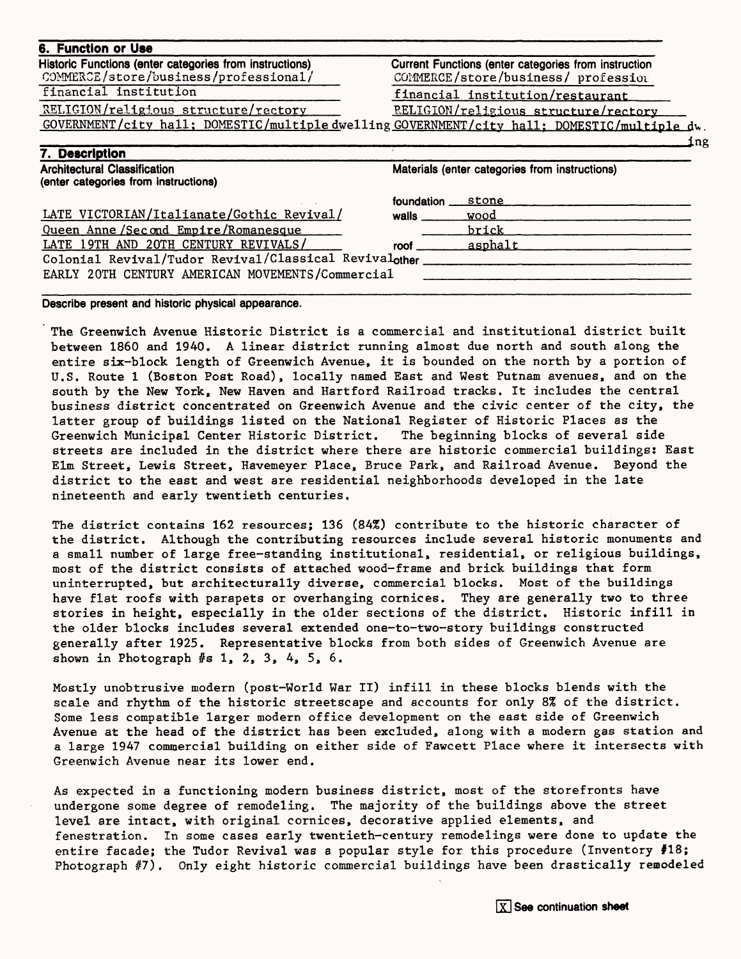#### **6. Function or Use**

**7. Description\_\_\_\_\_\_\_\_\_\_\_\_\_\_\_\_\_\_\_\_\_\_\_**

Historic Functions (enter categories from instructions) Current Functions (enter categories from instruction<br>COMMERCE/store/business/professional/ COMMERCE/store/business/profession COMMERCE/store/business/professional/ COMMERCE/store/business/ profession<br>
financial institution financial institution/restaurant

financial institution/restaurant

RELIGION/religious structure/rectory RELIGION/religious structure/rectory GOVERNMENT/city hall; DOMESTIC/multiple dwelling GOVERNMENT/citv hall; DOMESTIC/multiple du.

**\_\_\_\_\_\_\_\_\_\_\_\_\_\_\_\_\_\_\_\_\_\_\_\_\_\_\_\_\_\_\_\_\_\_\_\_\_\_\_\_\_\_\_\_\_\_\_\_\_\_\_\_\_\_\_\_\_\_\_\_\_\_\_\_\_ing** 

| <b>Architectural Classification</b><br>(enter categories from instructions) | Materials (enter categories from instructions) |         |  |  |  |  |
|-----------------------------------------------------------------------------|------------------------------------------------|---------|--|--|--|--|
|                                                                             | foundation                                     | stone   |  |  |  |  |
| LATE VICTORIAN/Italianate/Gothic Revival/                                   | walls                                          | wood    |  |  |  |  |
| Queen Anne/Second Empire/Romanesque                                         |                                                | brick   |  |  |  |  |
| LATE 19TH AND 20TH CENTURY REVIVALS/                                        | roof                                           | asphalt |  |  |  |  |
| Colonial Revival/Tudor Revival/Classical Revivalother                       |                                                |         |  |  |  |  |
| EARLY 20TH CENTURY AMERICAN MOVEMENTS/Commercial                            |                                                |         |  |  |  |  |
|                                                                             |                                                |         |  |  |  |  |

Describe present and historic physical appearance.

The Greenwich Avenue Historic District is a commercial and institutional district built between 1860 and 1940. A linear district running almost due north and south along the entire six-block length of Greenwich Avenue, it is bounded on the north by a portion of U.S. Route 1 (Boston Post Road), locally named East and West Putnam avenues, and on the south by the New York, New Haven and Hartford Railroad tracks. It includes the central business district concentrated on Greenwich Avenue and the civic center of the city, the latter group of buildings listed on the National Register of Historic Places as the Greenwich Municipal Center Historic District. The beginning blocks of several side streets are included in the district where there are historic commercial buildings: East Elm Street, Lewis Street, Havemeyer Place, Bruce Park, and Railroad Avenue. Beyond the district to the east and west are residential neighborhoods developed in the late nineteenth and early twentieth centuries.

The district contains 162 resources; 136 (84%) contribute to the historic character of the district. Although the contributing resources include several historic monuments and a small number of large free-standing institutional, residential, or religious buildings, most of the district consists of attached wood-frame and brick buildings that form uninterrupted, but architecturally diverse, commercial blocks. Most of the buildings have flat roofs with parapets or overhanging cornices. They are generally two to three stories in height, especially in the older sections of the district. Historic infill in the older blocks includes several extended one-to-two-story buildings constructed generally after 1925. Representative blocks from both sides of Greenwich Avenue are shown in Photograph  $#s$  1, 2, 3, 4, 5, 6.

Mostly unobtrusive modern (post-World War II) infill in these blocks blends with the scale and rhythm of the historic streetscape and accounts for only 8% of the district. Some less compatible larger modern office development on the east side of Greenwich Avenue at the head of the district has been excluded, along with a modern gas station and a large 1947 commercial building on either side of Fawcett Place where it intersects with Greenwich Avenue near its lower end.

As expected in a functioning modern business district, most of the storefronts have undergone some degree of remodeling. The majority of the buildings above the street level are intact, with original cornices, decorative applied elements, and fenestration. In some cases early twentieth-century remodelings were done to update the entire facade; the Tudor Revival was a popular style for this procedure (Inventory #18; Photograph #7). Only eight historic commercial buildings have been drastically remodeled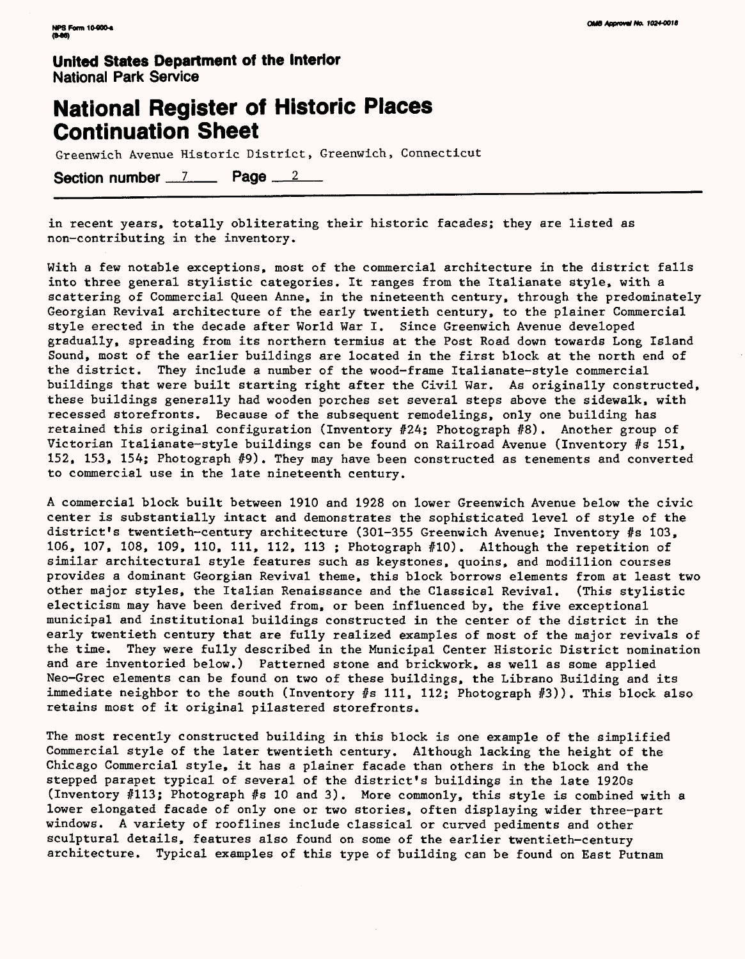### **National Register of Historic Places Continuation Sheet**

Greenwich Avenue Historic District, Greenwich, Connecticut

Section number 7 Page 2

in recent years, totally obliterating their historic facades; they are listed as non-contributing in the inventory.

With a few notable exceptions, most of the commercial architecture in the district falls into three general stylistic categories. It ranges from the Italianate style, with a scattering of Commercial Queen Anne, in the nineteenth century, through the predominately Georgian Revival architecture of the early twentieth century, to the plainer Commercial style erected in the decade after World War I. Since Greenwich Avenue developed gradually, spreading from its northern termius at the Post Road down towards Long Island Sound, most of the earlier buildings are located in the first block at the north end of the district. They include a number of the wood-frame Italianate-style commercial buildings that were built starting right after the Civil War. As originally constructed, these buildings generally had wooden porches set several steps above the sidewalk, with recessed storefronts. Because of the subsequent remodelings, only one building has retained this original configuration (Inventory #24; Photograph #8) . Another group of Victorian Italianate-style buildings can be found on Railroad Avenue (Inventory #s 151, 152, 153, 154; Photograph #9) . They may have been constructed as tenements and converted to commercial use in the late nineteenth century.

A commercial block built between 1910 and 1928 on lower Greenwich Avenue below the civic center is substantially intact and demonstrates the sophisticated level of style of the district's twentieth-century architecture (301-355 Greenwich Avenue; Inventory #s 103, 106, 107, 108, 109, 110, 111, 112, 113 ; Photograph #10). Although the repetition of similar architectural style features such as keystones, quoins, and modillion courses provides a dominant Georgian Revival theme, this block borrows elements from at least two other major styles, the Italian Renaissance and the Classical Revival. (This stylistic electicism may have been derived from, or been influenced by, the five exceptional municipal and institutional buildings constructed in the center of the district in the early twentieth century that are fully realized examples of most of the major revivals of the time. They were fully described in the Municipal Center Historic District nomination and are inventoried below.) Patterned stone and brickwork, as well as some applied Neo-Grec elements can be found on two of these buildings, the Librano Building and its immediate neighbor to the south (Inventory #s 111, 112; Photograph #3)). This block also retains most of it original pilastered storefronts.

The most recently constructed building in this block is one example of the simplified Commercial style of the later twentieth century. Although lacking the height of the Chicago Commercial style, it has a plainer facade than others in the block and the stepped parapet typical of several of the district's buildings in the late 1920s (Inventory #113; Photograph #s 10 and 3). More commonly, this style is combined with a lower elongated facade of only one or two stories, often displaying wider three-part windows. A variety of rooflines include classical or curved pediments and other sculptural details, features also found on some of the earlier twentieth-century architecture. Typical examples of this type of building can be found on East Putnam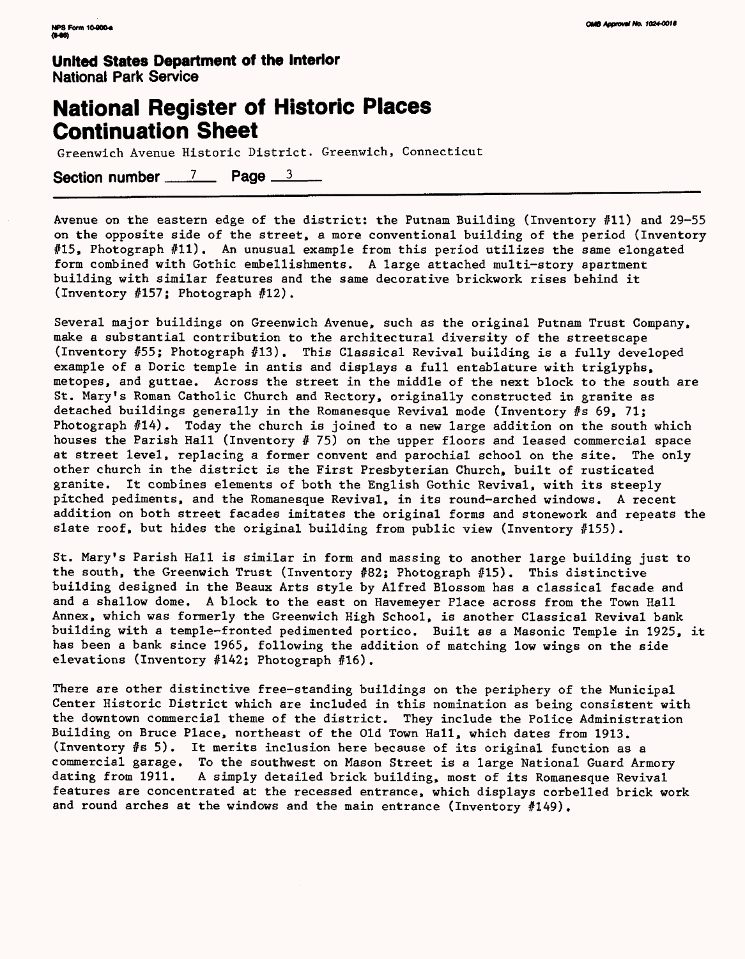### **National Register of Historic Places Continuation Sheet**

Greenwich Avenue Historic District. Greenwich, Connecticut

Section number  $\frac{7}{2}$  Page  $\frac{3}{2}$ 

Avenue on the eastern edge of the district: the Putnam Building (Inventory #11) and 29-55 on the opposite side of the street, a more conventional building of the period (Inventory #15, Photograph #11). An unusual example from this period utilizes the same elongated form combined with Gothic embellishments. A large attached multi-story apartment building with similar features and the same decorative brickwork rises behind it (Inventory #157; Photograph #12).

Several major buildings on Greenwich Avenue, such as the original Putnam Trust Company, make a substantial contribution to the architectural diversity of the streetscape (Inventory #55; Photograph #13). This Classical Revival building is a fully developed example of a Doric temple in antis and displays a full entablature with triglyphs, metopes, and guttae. Across the street in the middle of the next block to the south are St. Mary's Roman Catholic Church and Rectory, originally constructed in granite as detached buildings generally in the Romanesque Revival mode (Inventory #s 69, 71; Photograph #14). Today the church is joined to a new large addition on the south which houses the Parish Hall (Inventory  $# 75$ ) on the upper floors and leased commercial space at street level, replacing a former convent and parochial school on the site. The only other church in the district is the First Presbyterian Church, built of rusticated granite. It combines elements of both the English Gothic Revival, with its steeply pitched pediments, and the Romanesque Revival, in its round-arched windows. A recent addition on both street facades imitates the original forms and stonework and repeats the slate roof, but hides the original building from public view (Inventory  $#155$ ).

St. Mary's Parish Hall is similar in form and massing to another large building just to the south, the Greenwich Trust (Inventory #82; Photograph #15). This distinctive building designed in the Beaux Arts style by Alfred Blossom has a classical facade and and a shallow dome, A block to the east on Havemeyer Place across from the Town Hall Annex, which was formerly the Greenwich High School, is another Classical Revival bank building with a temple-fronted pedimented portico. Built as a Masonic Temple in 1925, it has been a bank since 1965, following the addition of matching low wings on the side elevations (Inventory #142; Photograph #16) .

There are other distinctive free-standing buildings on the periphery of the Municipal Center Historic District which are included in this nomination as being consistent with the downtown commercial theme of the district. They include the Police Administration Building on Bruce Place, northeast of the Old Town Hall, which dates from 1913. (Inventory #s 5). It merits inclusion here because of its original function as a commercial garage. To the southwest on Mason Street is a large National Guard Armory dating from 1911. A simply detailed brick building, most of its Romanesque Revival features are concentrated at the recessed entrance, which displays corbelled brick work and round arches at the windows and the main entrance (Inventory #149).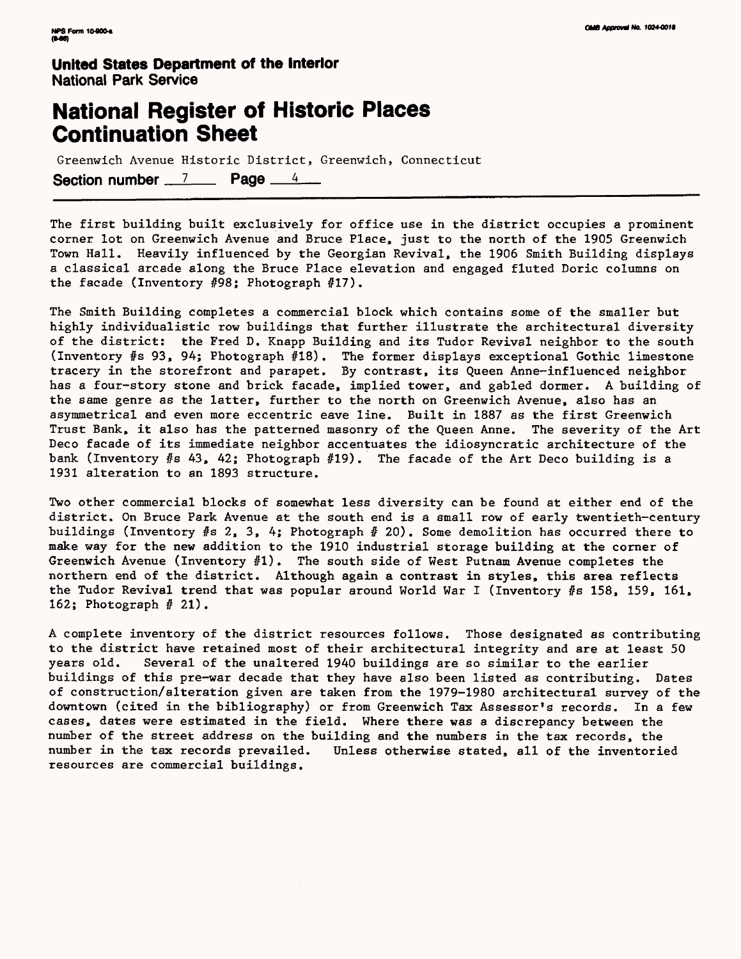## **National Register of Historic Places Continuation Sheet**

Greenwich Avenue Historic District, Greenwich, Connecticut Section number  $\frac{7}{2}$  Page  $\frac{4}{4}$ 

The first building built exclusively for office use in the district occupies a prominent corner lot on Greenwich Avenue and Bruce Place, just to the north of the 1905 Greenwich Town Hall. Heavily influenced by the Georgian Revival, the 1906 Smith Building displays a classical arcade along the Bruce Place elevation and engaged fluted Doric columns on the facade (Inventory #98; Photograph #17).

The Smith Building completes a commercial block which contains some of the smaller but highly individualistic row buildings that further illustrate the architectural diversity of the district: the Fred D. Knapp Building and its Tudor Revival neighbor to the south (Inventory #s 93, 94; Photograph #18) . The former displays exceptional Gothic limestone tracery in the storefront and parapet. By contrast, its Queen Anne-influenced neighbor has a four-story stone and brick facade, implied tower, and gabled dormer. A building of the same genre as the latter, further to the north on Greenwich Avenue, also has an asymmetrical and even more eccentric eave line. Built in 1887 as the first Greenwich Trust Bank, it also has the patterned masonry of the Queen Anne. The severity of the Art Deco facade of its immediate neighbor accentuates the idiosyncratic architecture of the bank (Inventory  $#s$  43, 42; Photograph  $#19$ ). The facade of the Art Deco building is a 1931 alteration to an 1893 structure.

Two other commercial blocks of somewhat less diversity can be found at either end of the district. On Bruce Park Avenue at the south end is a small row of early twentieth-century buildings (Inventory  $#s$  2, 3, 4; Photograph  $#20$ ). Some demolition has occurred there to make way for the new addition to the 1910 industrial storage building at the corner of Greenwich Avenue (Inventory  $#1$ ). The south side of West Putnam Avenue completes the northern end of the district. Although again a contrast in styles, this area reflects the Tudor Revival trend that was popular around World War I (Inventory #s 158, 159, 161, 162; Photograph  $# 21$ .

A complete inventory of the district resources follows. Those designated as contributing to the district have retained most of their architectural integrity and are at least 50 years old. Several of the unaltered 1940 buildings are so similar to the earlier buildings of this pre-war decade that they have also been listed as contributing. Dates of construction/alteration given are taken from the 1979-1980 architectural survey of the downtown (cited in the bibliography) or from Greenwich Tax Assessor's records. In a few cases, dates were estimated in the field. Where there was a discrepancy between the number of the street address on the building and the numbers in the tax records, the number in the tax records prevailed. Unless otherwise stated, all of the inventoried resources are commercial buildings.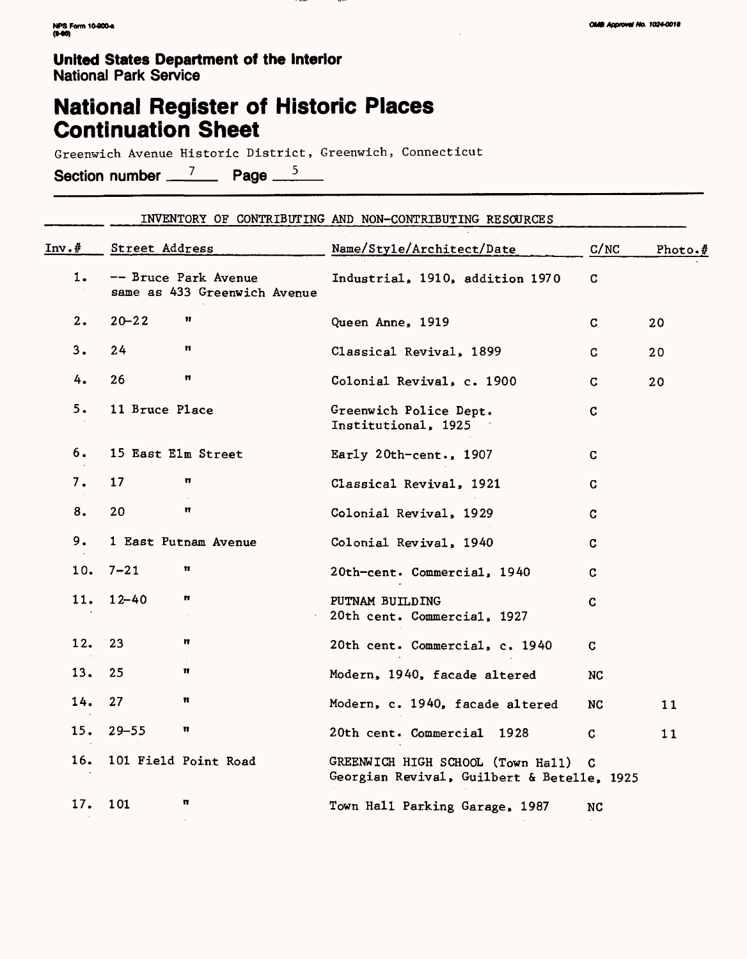## **National Register of Historic Places Continuation Sheet**

Greenwich Avenue Historic District, Greenwich, Connecticut

Section number  $\frac{7}{2}$  Page  $\frac{5}{2}$ 

|       | INVENTORY OF CONTRIBUTING AND NON-CONTRIBUTING RESOURCES |                                                      |                                                                                 |             |                             |  |  |  |
|-------|----------------------------------------------------------|------------------------------------------------------|---------------------------------------------------------------------------------|-------------|-----------------------------|--|--|--|
| Inv.f | Street Address                                           |                                                      | Name/Style/Architect/Date                                                       | C/NC        | Photo. $\sqrt{\frac{1}{2}}$ |  |  |  |
| 1.    |                                                          | -- Bruce Park Avenue<br>same as 433 Greenwich Avenue | Industrial, 1910, addition 1970                                                 | $\mathbf C$ |                             |  |  |  |
| 2.    | $20 - 22$                                                | Ħ                                                    | Queen Anne, 1919                                                                | C.          | 20                          |  |  |  |
| 3.    | 24                                                       | n                                                    | Classical Revival, 1899                                                         | C.          | 20                          |  |  |  |
| 4.    | 26                                                       | n                                                    | Colonial Revival, c. 1900                                                       | C.          | 20                          |  |  |  |
| 5.    | 11 Bruce Place                                           |                                                      | Greenwich Police Dept.<br>Institutional, 1925                                   | C           |                             |  |  |  |
| 6.    |                                                          | 15 East Elm Street                                   | Early 20th-cent., 1907                                                          | C.          |                             |  |  |  |
| 7.    | 17                                                       | n                                                    | Classical Revival, 1921                                                         | C           |                             |  |  |  |
| 8.    | 20                                                       | Ħ                                                    | Colonial Revival, 1929                                                          | C.          |                             |  |  |  |
| 9.    |                                                          | 1 East Putnam Avenue                                 | Colonial Revival, 1940                                                          | C           |                             |  |  |  |
| 10.   | $7 - 21$                                                 | Ħ                                                    | 20th-cent. Commercial, 1940                                                     | C           |                             |  |  |  |
| 11.   | $12 - 40$                                                | n                                                    | PUTNAM BUILDING<br>20th cent. Commercial, 1927                                  | $\mathbf C$ |                             |  |  |  |
| 12.   | 23                                                       | n                                                    | 20th cent. Commercial, c. 1940                                                  | C           |                             |  |  |  |
| 13.   | 25                                                       | Ħ                                                    | Modern, 1940, facade altered                                                    | NC          |                             |  |  |  |
| 14.   | 27                                                       | n                                                    | Modern, c. 1940, facade altered                                                 | NC          | 11                          |  |  |  |
| 15.   | $29 - 55$                                                | n                                                    | 20th cent. Commercial 1928                                                      | C           | 11                          |  |  |  |
| 16.   |                                                          | 101 Field Point Road                                 | GREENWICH HIGH SCHOOL (Town Hall)<br>Georgian Revival, Guilbert & Betelle, 1925 | C           |                             |  |  |  |
| 17.   | 101                                                      | n                                                    | Town Hall Parking Garage, 1987                                                  | NC          |                             |  |  |  |
|       |                                                          |                                                      |                                                                                 |             |                             |  |  |  |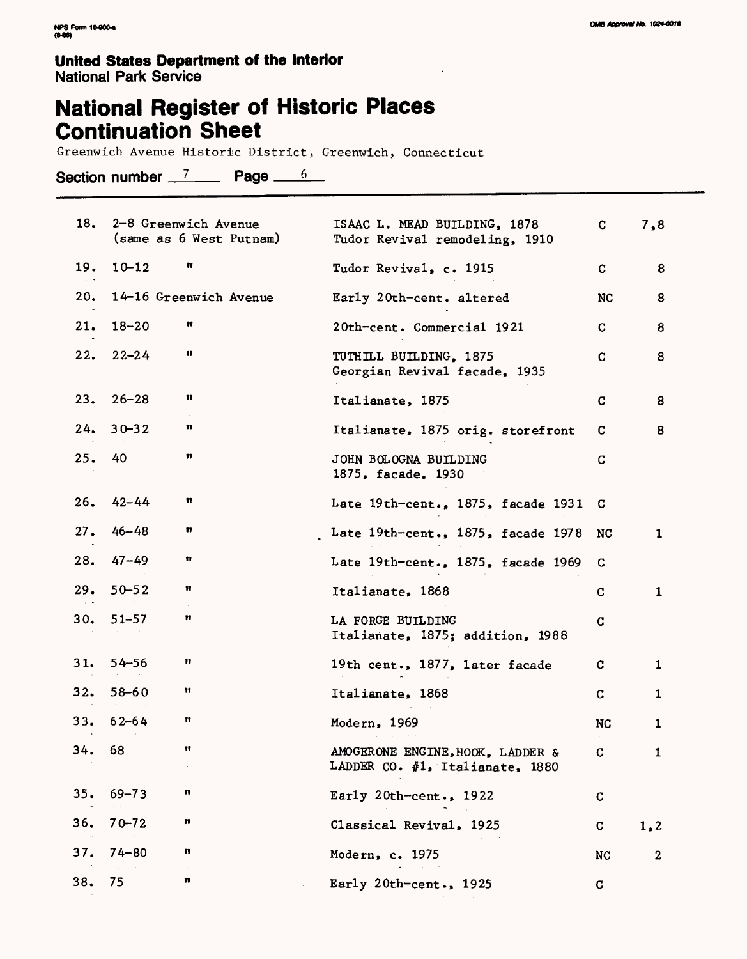**National Register of Historic Places Continuation Sheet**

Greenwich Avenue Historic District, Greenwich, Connecticut

Section number  $7$  Page  $6$ 

| 18. |           | 2-8 Greenwich Avenue<br>(same as 6 West Putnam) | ISAAC L. MEAD BUILDING, 1878<br>Tudor Revival remodeling, 1910      | C           | 7,8          |
|-----|-----------|-------------------------------------------------|---------------------------------------------------------------------|-------------|--------------|
| 19. | $10 - 12$ | Ħ                                               | Tudor Revival, c. 1915                                              | C           | 8            |
| 20. |           | 14-16 Greenwich Avenue                          | Early 20th-cent. altered                                            | NC          | 8            |
| 21. | $18 - 20$ | Ħ                                               | 20th-cent. Commercial 1921                                          | C           | 8            |
| 22. | $22 - 24$ | Ħ                                               | TUTHILL BUILDING, 1875<br>Georgian Revival facade, 1935             | C           | 8            |
| 23. | $26 - 28$ | n                                               | Italianate, 1875                                                    | C           | 8            |
| 24. | $30 - 32$ | n                                               | Italianate, 1875 orig. storefront                                   | C           | 8            |
| 25. | 40        | n                                               | JOHN BOLOGNA BUILDING<br>1875, facade, 1930                         | C           |              |
| 26. | $42 - 44$ | n                                               | Late 19th-cent., 1875, facade 1931                                  | C           |              |
| 27. | $46 - 48$ | n                                               | Late 19th-cent., 1875, facade 1978                                  | NC          | $\mathbf 1$  |
| 28. | $47 - 49$ | Ħ                                               | Late 19th-cent., 1875, facade 1969                                  | C           |              |
| 29. | $50 - 52$ | n                                               | Italianate, 1868                                                    | C           | $\mathbf{1}$ |
| 30. | 51–57     | n                                               | LA FORGE BUILDING<br>Italianate, 1875; addition, 1988               | C           |              |
| 31. | $54 - 56$ | Ħ                                               | 19th cent., 1877, later facade                                      | c           | 1            |
| 32. | $58 - 60$ | π                                               | Italianate, 1868                                                    | $\mathbf C$ | 1            |
| 33. | $62 - 64$ | Ħ<br>$\sim$                                     | Modern, 1969                                                        | NC          | 1            |
| 34. | 68        | Ħ                                               | AMOGERONE ENGINE, HOOK, LADDER &<br>LADDER CO. #1, Italianate, 1880 | C           | $\mathbf{1}$ |
| 35. | $69 - 73$ | n                                               | Early 20th-cent., $1922$                                            | C           |              |
| 36. | $70 - 72$ | n                                               | Classical Revival, 1925                                             | C           | 1, 2         |
| 37. | $74 - 80$ | n<br>$\alpha$                                   | Modern, c. 1975                                                     | NC          | $\mathbf 2$  |
| 38. | 75        | n                                               | Early 20th-cent., 1925                                              | C           |              |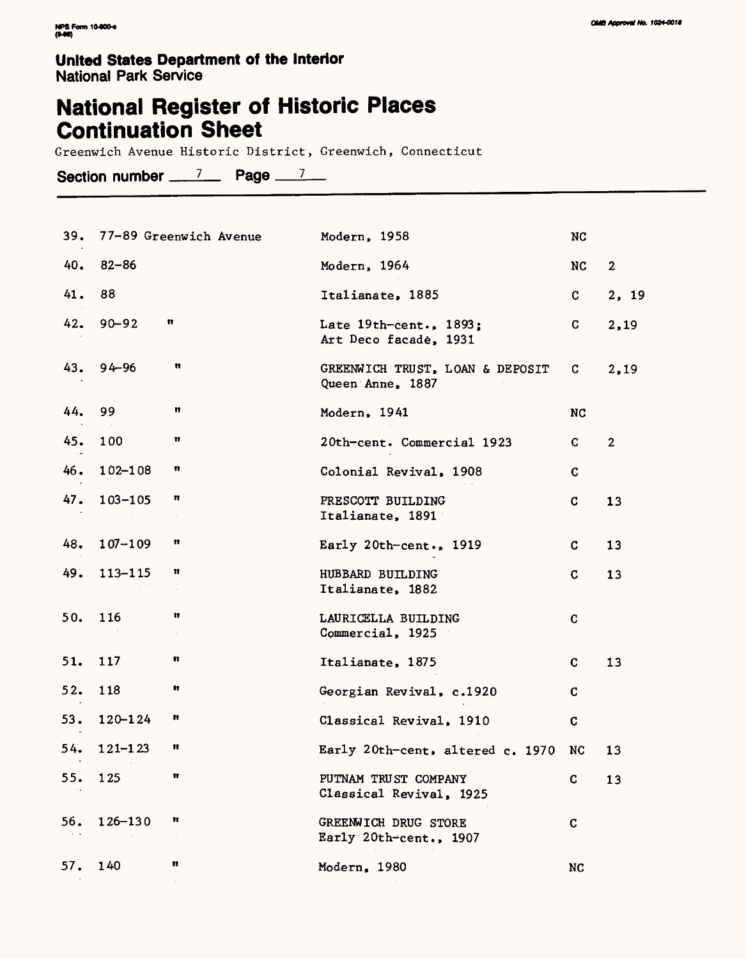# **National Register of Historic Places Continuation Sheet**

Greenwich Avenue Historic District, Greenwich, Connecticut

Section number  $7 - 7$  Page  $7 - 7$ 

| 39. |             | 77-89 Greenwich Avenue | Modern, 1958                                          | <b>NC</b>    |                |
|-----|-------------|------------------------|-------------------------------------------------------|--------------|----------------|
| 40. | $82 - 86$   |                        | Modern, 1964                                          | NC           | $\overline{2}$ |
| 41. | 88          |                        | Italianate, 1885                                      | $\mathbf{C}$ | 2, 19          |
| 42. | $90 - 92$   | n                      | Late $19th$ -cent., $1893$ ;<br>Art Deco facade, 1931 | C.           | 2,19           |
| 43. | $94 - 96$   | n                      | GREENWICH TRUST, LOAN & DEPOSIT<br>Queen Anne, 1887   | C.           | 2,19           |
| 44. | 99          | n                      | Modern, 1941                                          | <b>NC</b>    |                |
| 45. | 100         | 11                     | 20th-cent. Commercial 1923                            | C.           | $\overline{2}$ |
| 46. | 102-108     | π                      | Colonial Revival, 1908                                | C            |                |
| 47. | $103 - 105$ | n                      | PRESCOTT BUILDING<br>Italianate, 1891                 | C            | 13             |
| 48. | $107 - 109$ | n                      | Early $20th$ -cent., $1919$                           | C.           | 13             |
| 49. | $113 - 115$ | π                      | HUBBARD BUILDING<br>Italianate, 1882                  | C            | 13             |
| 50. | 116         | Ħ                      | LAURICELLA BUILDING<br>Commercial, 1925               | C            |                |
| 51. | 117         | n                      | Italianate, 1875                                      | C            | 13             |
| 52. | 118         | n                      | Georgian Revival, c.1920                              | C            |                |
| 53. | $120 - 124$ | Ħ                      | Classical Revival, 1910                               | $\mathbf C$  |                |
| 54. | $121 - 123$ | n                      | Early 20th-cent, altered c. 1970                      | NC           | 13             |
| 55. | 125         |                        | PUTNAM TRUST COMPANY<br>Classical Revival, 1925       | C            | 13             |
| 56. | 126-130     | Ħ                      | GREENWICH DRUG STORE<br>Early 20th-cent., 1907        | C            |                |
| 57. | 140         | n                      | Modern, 1980                                          | NC           |                |
|     |             |                        |                                                       |              |                |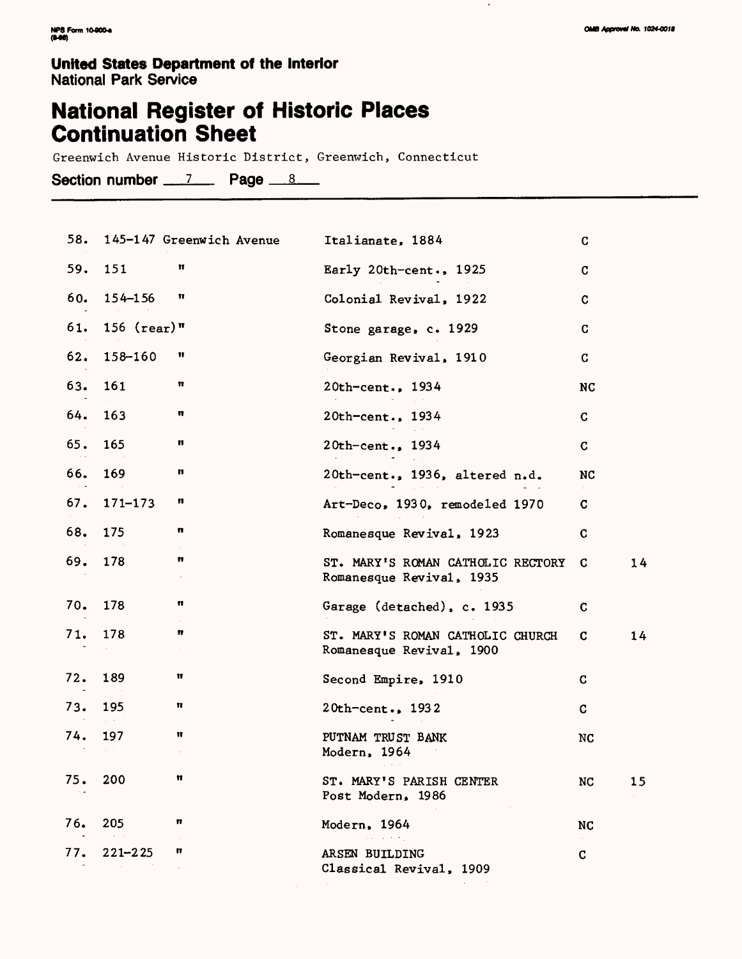$\cdot$ 

#### **United States Department of the Interior** National Park Service

# **National Register of Historic Places Continuation Sheet**

Greenwich Avenue Historic District, Greenwich, Connecticut

**Section number 7 Paoe \_8\_**

|     |               | 58. 145-147 Greenwich Avenue | Italianate, 1884                                              | $\mathbf C$ |    |
|-----|---------------|------------------------------|---------------------------------------------------------------|-------------|----|
| 59. | 151           | π                            | Early 20th-cent., 1925                                        | $\mathbf C$ |    |
| 60. | 154-156       | Ħ                            | Colonial Revival, 1922                                        | $\mathbf C$ |    |
| 61. | $156$ (rear)" |                              | Stone garage, c. 1929                                         | C           |    |
| 62. | 158-160       | Ħ                            | Georgian Revival, 1910                                        | $\mathbf C$ |    |
| 63. | 161           | n                            | 20th-cent., 1934                                              | NC          |    |
| 64. | 163           | n                            | 20th-cent., 1934                                              | C           |    |
| 65. | 165           | n                            | 20th-cent., 1934                                              | C           |    |
| 66. | 169           | n                            | 20th-cent., 1936, altered n.d.                                | NC          |    |
| 67. | $171 - 173$   | n                            | Art-Deco, 1930, remodeled 1970                                | C           |    |
| 68. | 175           | n                            | Romanesque Revival, 1923                                      | C           |    |
| 69. | 178           | n                            | ST. MARY'S ROMAN CATHOLIC RECTORY<br>Romanesque Revival, 1935 | C           | 14 |
| 70. | 178           | n                            | Garage (detached), c. 1935                                    | C           |    |
| 71. | 178           | n<br>$\sim$                  | ST. MARY'S ROMAN CATHOLIC CHURCH<br>Romanesque Revival, 1900  | C           | 14 |
| 72. | 189           | Ħ                            | Second Empire, 1910                                           | C           |    |
| 73. | 195           | Ħ                            | $20th$ -cent., 1932                                           | C.          |    |
| 74. | 197           | Ħ                            | PUTNAM TRUST BANK<br>Modern, 1964                             | NC          |    |
| 75. | 200           | π                            | ST. MARY'S PARISH CENTER<br>Post Modern, 1986                 | NC          | 15 |
| 76. | 205           | n                            | Modern, 1964                                                  | NC          |    |
| 77. | $221 - 225$   | n                            | and the state<br>ARSEN BUILDING<br>Classical Revival, 1909    | $\sim$<br>C |    |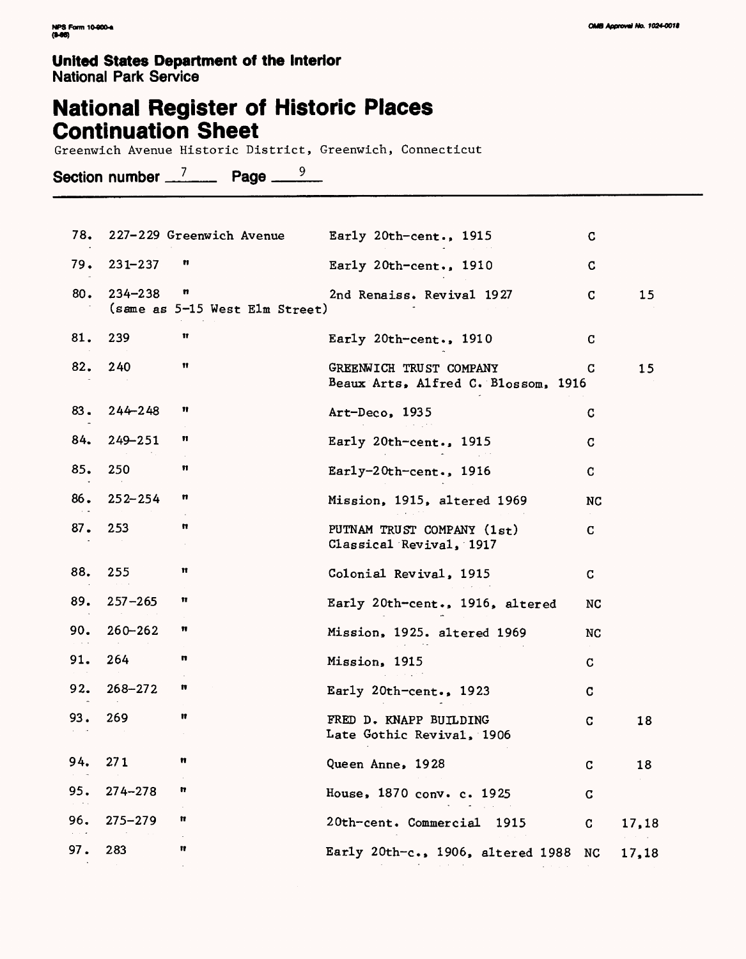## **National Register of Historic Places Continuation Sheet**

Greenwich Avenue Historic District, Greenwich, Connecticut

Section number <u>7</u> Page <u>9</u>

| 78. |             |                                     | 227-229 Greenwich Avenue Early 20th-cent., 1915                | C           |       |
|-----|-------------|-------------------------------------|----------------------------------------------------------------|-------------|-------|
| 79. | $231 - 237$ | n                                   | Early 20th-cent., 1910                                         | C           |       |
| 80. | $234 - 238$ | n<br>(same as 5-15 West Elm Street) | 2nd Renaiss. Revival 1927                                      | $\mathbf C$ | 15    |
| 81. | 239         | Ħ                                   | Early 20th-cent., 1910                                         | C           |       |
| 82. | 240         | Ħ                                   | GREENWICH TRUST COMPANY<br>Beaux Arts, Alfred C. Blossom, 1916 | C           | 15    |
| 83. | $244 - 248$ | Ħ                                   | Art-Deco, 1935                                                 | C           |       |
| 84. | 249-251     | n                                   | Early 20th-cent., 1915                                         | C           |       |
| 85. | 250         | n                                   | $\text{Early-20th-cent.}, 1916$                                | C           |       |
| 86. | $252 - 254$ | n                                   | Mission, 1915, altered 1969                                    | <b>NC</b>   |       |
| 87. | 253         | n                                   | PUTNAM TRUST COMPANY (1st)<br>Classical Revival, 1917          | C           |       |
| 88. | 255         | π                                   | Colonial Revival, 1915                                         | C           |       |
| 89. | $257 - 265$ | n                                   | Early 20th-cent., 1916, altered                                | NC          |       |
| 90. | $260 - 262$ | n                                   | Mission, 1925. altered 1969                                    | NC          |       |
| 91. | 264         | n                                   | Mission, 1915                                                  | C.          |       |
| 92. | $268 - 272$ | n                                   | Early 20th-cent., 1923                                         | C           |       |
| 93. | 269         | Ħ                                   | FRED D. KNAPP BUILDING<br>Late Gothic Revival, 1906            | C           | 18    |
| 94. | 271         | n                                   | Queen Anne, 1928                                               | C           | 18    |
| 95. | $274 - 278$ | n                                   | House, 1870 conv. c. 1925                                      | C           |       |
| 96. | $275 - 279$ | n                                   | 20th-cent. Commercial<br>1915                                  | C           | 17,18 |
| 97. | 283         | n                                   | Early 20th-c., 1906, altered 1988                              | NC          | 17,18 |
|     |             |                                     |                                                                |             |       |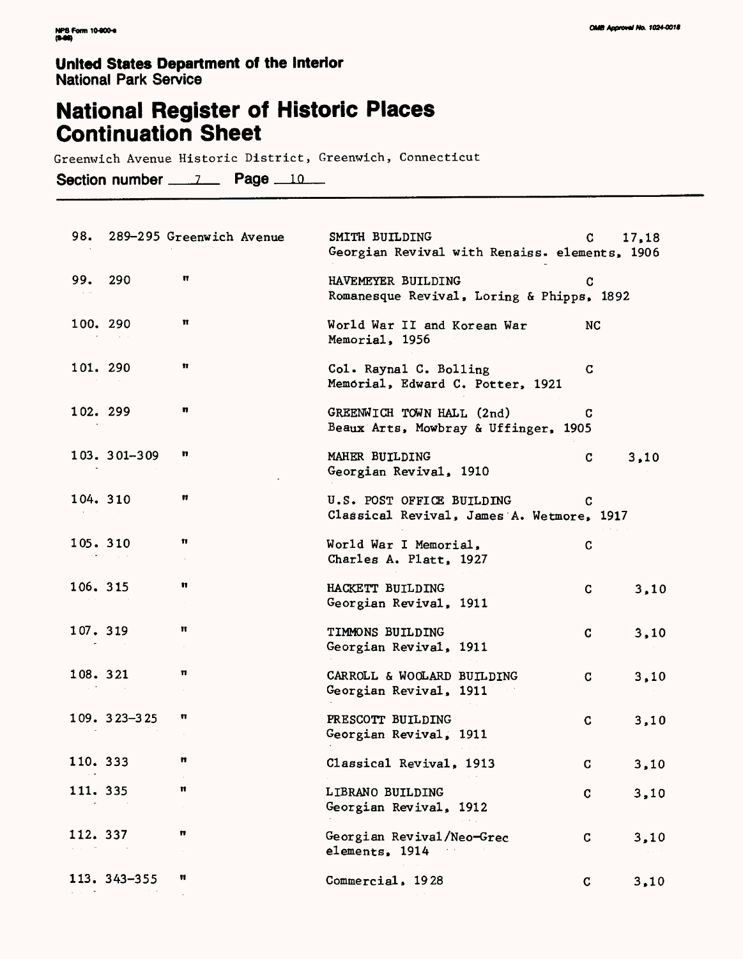# **National Register of Historic Places Continuation Sheet**

Greenwich Avenue Historic District, Greenwich, Connecticut

Section number \_\_\_\_\_\_\_\_\_ Page \_\_\_\_\_

|                 | 98. 289-295 Greenwich Avenue | SMITH BUILDING<br>Georgian Revival with Renaiss. elements, 1906        | C. | 17,18 |
|-----------------|------------------------------|------------------------------------------------------------------------|----|-------|
| 99. 290         | Ħ                            | HAVEMEYER BUILDING<br>Romanesque Revival, Loring & Phipps, 1892        | C  |       |
| 100. 290        | π                            | World War II and Korean War<br>Memorial, 1956                          | NC |       |
| 101. 290        | Ħ                            | Col. Raynal C. Bolling<br>Memorial, Edward C. Potter, 1921             | C  |       |
| 102. 299        | π                            | GREENWICH TOWN HALL (2nd)<br>Beaux Arts, Mowbray & Uffinger, 1905      | C. |       |
| 103. 301-309    | n                            | MAHER BUILDING<br>Georgian Revival, 1910                               | C  | 3,10  |
| 104. 310        | 11                           | U.S. POST OFFICE BUILDING<br>Classical Revival, James A. Wetmore, 1917 | C. |       |
| 105. 310        | Ħ                            | World War I Memorial.<br>Charles A. Platt, 1927                        | C  |       |
| 106. 315        | n                            | HACKETT BUILDING<br>Georgian Revival, 1911                             | C. | 3,10  |
| 107.319         | π                            | TIMMONS BUILDING<br>Georgian Revival, 1911                             | C. | 3,10  |
| 108. 321        | π                            | CARROLL & WOOLARD BUILDING<br>Georgian Revival, 1911                   | C  | 3,10  |
| $109.323 - 325$ | n                            | PRESCOTT BUILDING<br>Georgian Revival, 1911                            | C  | 3,10  |
| 110. 333        | n                            | Classical Revival, 1913                                                | C  | 3,10  |
| 111. 335        | Ħ                            | LIBRANO BUILDING<br>Georgian Revival, 1912                             | C  | 3,10  |
| 112. 337        | n                            | Georgian Revival/Neo-Grec<br>elements, 1914                            | c  | 3,10  |
| 113. 343-355    | n                            | Commercial, 1928                                                       | C  | 3,10  |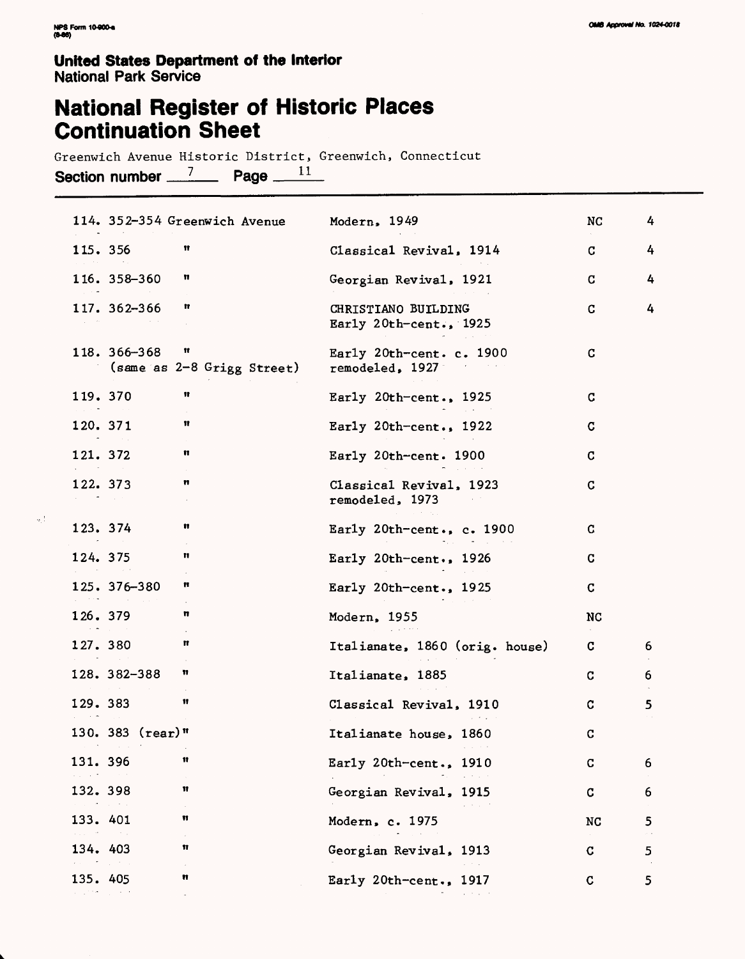$\alpha_1^{-1}$ 

### **United States Department of the Interior** National Park Service

## **National Register of Historic Places Continuation Sheet**

Greenwich Avenue Historic District, Greenwich, Connecticut Section number  $\frac{7}{2}$  Page  $\frac{11}{2}$ 

| 114. 352-354 Greenwich Avenue                   | Modern, 1949                                  | NC        | 4 |
|-------------------------------------------------|-----------------------------------------------|-----------|---|
| 11<br>115. 356                                  | Classical Revival, 1914                       | C.        | 4 |
| 116. 358-360<br>n                               | Georgian Revival, 1921                        | C.        | 4 |
| 117. 362-366<br>n                               | CHRISTIANO BUILDING<br>Early 20th-cent., 1925 | C         | 4 |
| 118. 366-368<br>Ħ<br>(same as 2-8 Grigg Street) | Early 20th-cent. c. $1900$<br>remodeled, 1927 | C         |   |
| Ħ<br>119. 370                                   | Early $20th$ -cent., $1925$                   | C         |   |
| Ħ<br>120. 371                                   | Early $20th$ -cent., 1922                     | C         |   |
| n<br>121. 372                                   | Early 20th-cent. 1900                         | C         |   |
| n<br>122. 373                                   | Classical Revival, 1923<br>remodeled, 1973    | C         |   |
| 123. 374<br>n                                   | Early 20th-cent., $c. 1900$                   | C         |   |
| 124. 375<br>π                                   | Early 20th-cent., 1926                        | C         |   |
| 125. 376-380<br>n                               | Early 20th-cent., $1925$                      | C         |   |
| π<br>126.379                                    | Modern, 1955                                  | NC        |   |
| Ħ<br>127.380                                    | Italianate, 1860 (orig. house)                | C         | 6 |
| n<br>128. 382-388                               | Italianate, 1885                              | C.        | 6 |
| Ħ<br>129. 383                                   | Classical Revival, 1910                       | C         | 5 |
| 130. 383 $(\text{rear})$ "                      | Italianate house, 1860                        | C         |   |
| 131. 396<br>π                                   | Early 20th-cent., 1910                        | C         | 6 |
| 132. 398<br>Ħ                                   | Georgian Revival, 1915                        | C         | 6 |
| Ħ<br>133. 401                                   | Modern, c. 1975                               | <b>NC</b> | 5 |
| Ħ<br>134. 403                                   | Georgian Revival, 1913                        | C         | 5 |
| Ħ<br>135.405                                    | Early 20th-cent., 1917                        | C         | 5 |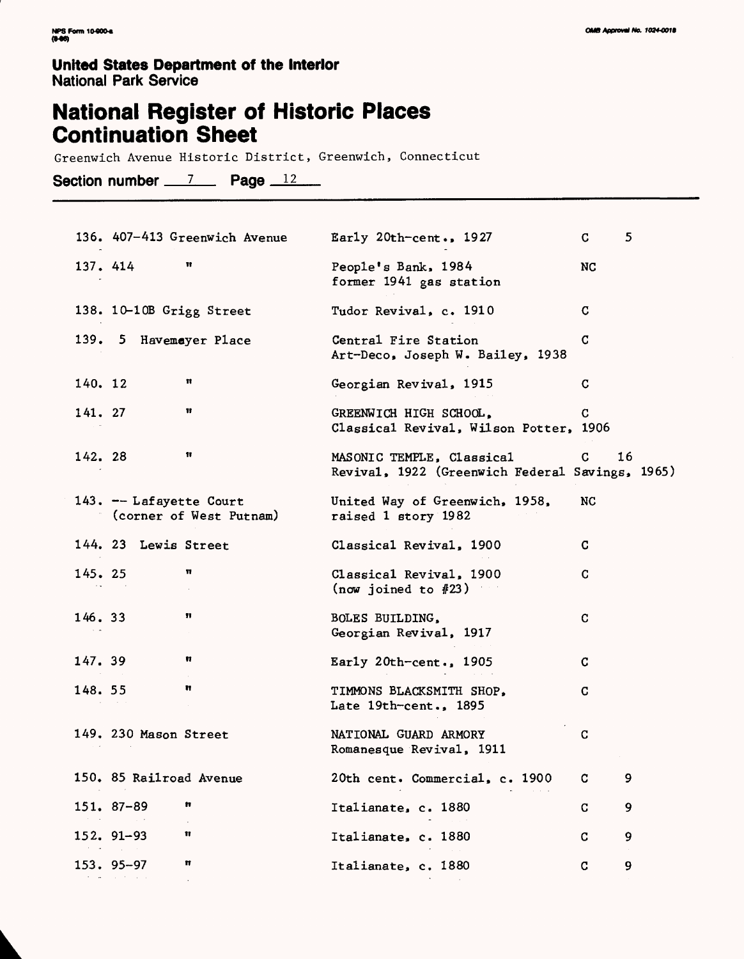## **National Register of Historic Places Continuation Sheet**

Greenwich Avenue Historic District, Greenwich, Connecticut

Section number  $\frac{7}{2}$  Page  $\frac{12}{2}$ 

| 136. 407-413 Greenwich Avenue                      | Early $20th$ -cent., $1927$                                                  | C. | 5  |
|----------------------------------------------------|------------------------------------------------------------------------------|----|----|
| Ħ<br>137. 414                                      | People's Bank, 1984<br>former 1941 gas station                               | NC |    |
| 138. 10-10B Grigg Street                           | Tudor Revival, c. 1910                                                       | C. |    |
| 139. 5 Havemayer Place                             | Central Fire Station<br>Art-Deco, Joseph W. Bailey, 1938                     | C  |    |
| Ħ<br>140. 12                                       | Georgian Revival, 1915                                                       | C  |    |
| Ħ<br>141. 27                                       | GREENWICH HIGH SCHOOL,<br>Classical Revival, Wilson Potter, 1906             | C  |    |
| Ħ<br>142. 28                                       | MASONIC TEMPLE, Classical<br>Revival, 1922 (Greenwich Federal Savings, 1965) | C. | 16 |
| 143. -- Lafayette Court<br>(corner of West Putnam) | United Way of Greenwich, 1958,<br>raised 1 story 1982                        | NC |    |
| 144. 23 Lewis Street                               | Classical Revival, 1900                                                      | C. |    |
| π<br>145. 25                                       | Classical Revival, 1900<br>(now joined to $#23$ )                            | C  |    |
| n<br>146.33                                        | BOLES BUILDING,<br>Georgian Revival, 1917                                    | C  |    |
| n<br>147.39                                        | Early $20th$ -cent., $1905$                                                  | C  |    |
| Ħ<br>148. 55                                       | TIMMONS BLACKSMITH SHOP,<br>Late 19th-cent., 1895                            | C  |    |
| 149. 230 Mason Street                              | NATIONAL GUARD ARMORY<br>Romanesque Revival, 1911                            | C  |    |
| 150. 85 Railroad Avenue                            | 20th cent. Commercial, c. 1900                                               | C. | 9  |
| 151. 87-89<br>n                                    | Italianate, c. 1880                                                          | C  | 9  |
| $152.91 - 93$<br>Ħ<br>the company of               | Italianate, c. 1880                                                          | C  | 9  |
| 153. 95-97<br>Ħ                                    | Italianate, c. 1880                                                          | C  | 9  |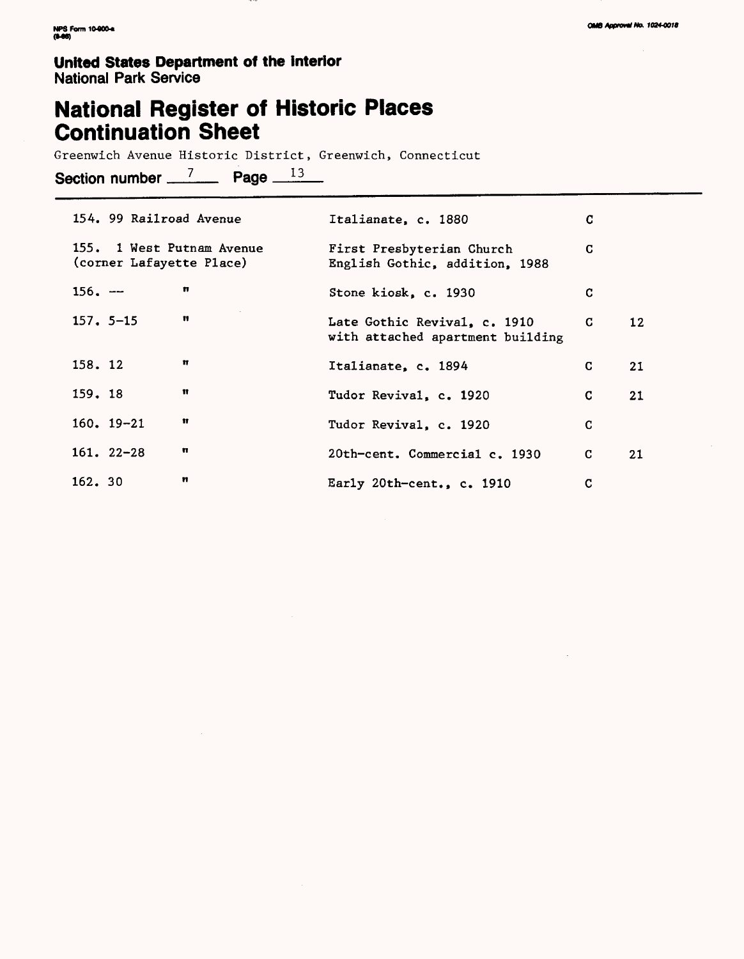## **National Register of Historic Places Continuation Sheet**

Greenwich Avenue Historic District, Greenwich, Connecticut

Section number  $\frac{7}{2}$  Page  $\frac{13}{2}$ 

| 154. 99 Railroad Avenue                               | Italianate, c. 1880                                              | G  |    |
|-------------------------------------------------------|------------------------------------------------------------------|----|----|
| 155. 1 West Putnam Avenue<br>(corner Lafayette Place) | First Presbyterian Church<br>English Gothic, addition, 1988      | C  |    |
| n<br>$156. -$                                         | Stone kiosk, c. 1930                                             | C  |    |
| $\mathbf{H}$<br>$157.5 - 15$                          | Late Gothic Revival, c. 1910<br>with attached apartment building | C. | 12 |
| Ħ<br>158.12                                           | Italianate, c. 1894                                              | C  | 21 |
| Ħ<br>159.18                                           | Tudor Revival, c. 1920                                           | C  | 21 |
| Ħ<br>$160.19 - 21$                                    | Tudor Revival, c. 1920                                           | C  |    |
| n<br>$161.22 - 28$                                    | 20th-cent. Commercial c. 1930                                    | C. | 21 |
| n<br>162. 30                                          | Early 20th-cent., c. 1910                                        | C  |    |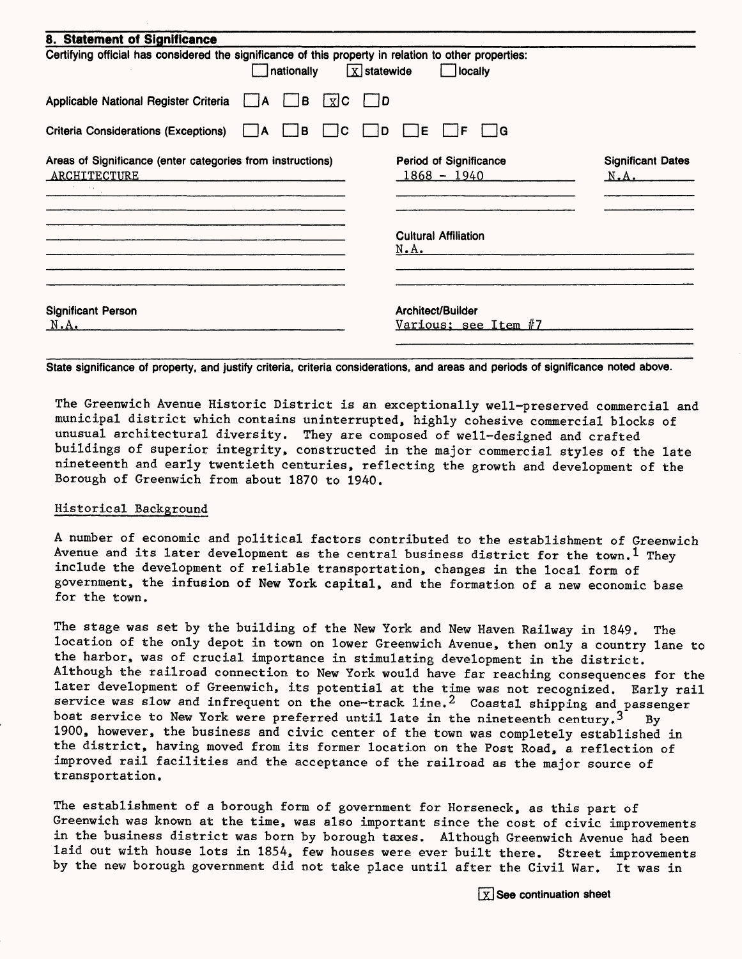| 8. Statement of Significance                                                                          |                |                              |                              |      |                                         |                      |                                  |
|-------------------------------------------------------------------------------------------------------|----------------|------------------------------|------------------------------|------|-----------------------------------------|----------------------|----------------------------------|
| Certifying official has considered the significance of this property in relation to other properties: | nationally     |                              | $\boxed{\text{X}}$ statewide |      | locally                                 |                      |                                  |
| Applicable National Register Criteria   A                                                             |                | ΙB.<br>$\lfloor x \rfloor$ C | D                            |      |                                         |                      |                                  |
| <b>Criteria Considerations (Exceptions)</b>                                                           | $\overline{A}$ | IC.<br>B                     | D                            | ΙE   | IF                                      | - IG                 |                                  |
| Areas of Significance (enter categories from instructions)<br>ARCHITECTURE                            |                |                              |                              |      | Period of Significance<br>$1868 - 1940$ |                      | <b>Significant Dates</b><br>N.A. |
|                                                                                                       |                |                              |                              | N.A. | <b>Cultural Affiliation</b>             |                      |                                  |
| <b>Significant Person</b><br>N.A.                                                                     |                |                              |                              |      | Architect/Builder                       | Various; see Item #7 |                                  |

State significance of property, and justify criteria, criteria considerations, and areas and periods of significance noted above.

The Greenwich Avenue Historic District is an exceptionally well-preserved commercial and municipal district which contains uninterrupted, highly cohesive commercial blocks of unusual architectural diversity. They are composed of well-designed and crafted buildings of superior integrity, constructed in the major commercial styles of the late nineteenth and early twentieth centuries, reflecting the growth and development of the Borough of Greenwich from about 1870 to 1940.

#### Historical Background

A number of economic and political factors contributed to the establishment of Greenwich Avenue and its later development as the central business district for the town.<sup>1</sup> They include the development of reliable transportation, changes in the local form of government, the infusion of New York capital, and the formation of a new economic base for the town.

The stage was set by the building of the New York and New Haven Railway in 1849. The location of the only depot in town on lower Greenwich Avenue, then only a country lane to the harbor, was of crucial importance in stimulating development in the district. Although the railroad connection to New York would have far reaching consequences for the later development of Greenwich, its potential at the time was not recognized. Early rail service was slow and infrequent on the one-track line.<sup>2</sup> Coastal shipping and passenger boat service to New York were preferred until late in the nineteenth century.<sup>3</sup> By 1900, however, the business and civic center of the town was completely established in the district, having moved from its former location on the Post Road, a reflection of improved rail facilities and the acceptance of the railroad as the major source of transportation.

The establishment of a borough form of government for Horseneck, as this part of Greenwich was known at the time, was also important since the cost of civic improvements in the business district was born by borough taxes. Although Greenwich Avenue had been laid out with house lots in 1854, few houses were ever built there. Street improvements by the new borough government did not take place until after the Civil War. It was in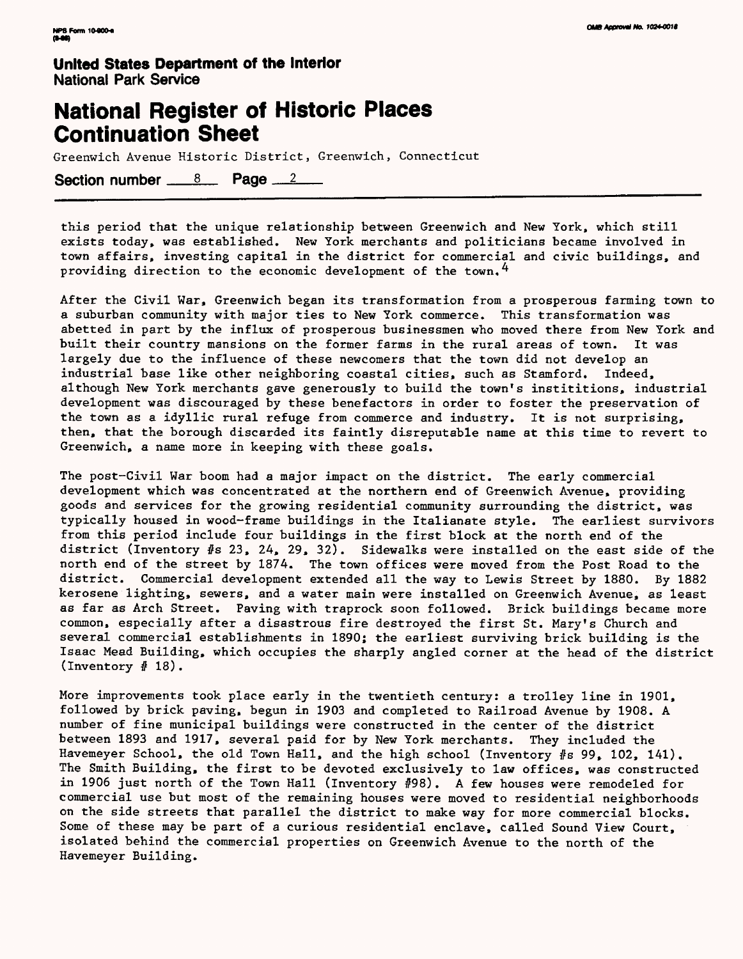## **National Register of Historic Places Continuation Sheet**

Greenwich Avenue Historic District, Greenwich, Connecticut

Section number  $8 \times 8$  Page  $2 \times 2$ 

this period that the unique relationship between Greenwich and New York, which still exists today, was established. New York merchants and politicians became involved in town affairs, investing capital in the district for commercial and civic buildings, and providing direction to the economic development of the town,  $4$ 

After the Civil War, Greenwich began its transformation from a prosperous farming town to a suburban community with major ties to New York commerce. This transformation was abetted in part by the influx of prosperous businessmen who moved there from New York and built their country mansions on the former farms in the rural areas of town. It was largely due to the influence of these newcomers that the town did not develop an industrial base like other neighboring coastal cities, such as Stamford. Indeed, although New York merchants gave generously to build the town's instititions, industrial development was discouraged by these benefactors in order to foster the preservation of the town as a idyllic rural refuge from commerce and industry. It is not surprising, then, that the borough discarded its faintly disreputable name at this time to revert to Greenwich, a name more in keeping with these goals.

The post-Civil War boom had a major impact on the district. The early commercial development which was concentrated at the northern end of Greenwich Avenue, providing goods and services for the growing residential community surrounding the district, was typically housed in wood-frame buildings in the Italianate style. The earliest survivors from this period include four buildings in the first block at the north end of the district (Inventory #s 23, 24, 29, 32). Sidewalks were installed on the east side of the north end of the street by 1874. The town offices were moved from the Post Road to the district. Commercial development extended all the way to Lewis Street by 1880. By 1882 kerosene lighting, sewers, and a water main were installed on Greenwich Avenue, as least as far as Arch Street. Paving with traprock soon followed. Brick buildings became more common, especially after a disastrous fire destroyed the first St. Mary's Church and several commercial establishments in 1890; the earliest surviving brick building is the Isaac Mead Building, which occupies the sharply angled corner at the head of the district (Inventory # 18) .

More improvements took place early in the twentieth century: a trolley line in 1901, followed by brick paving, begun in 1903 and completed to Railroad Avenue by 1908. A number of fine municipal buildings were constructed in the center of the district between 1893 and 1917, several paid for by New York merchants. They included the Havemeyer School, the old Town Hall, and the high school (Inventory #s 99, 102, 141). The Smith Building, the first to be devoted exclusively to law offices, was constructed in 1906 just north of the Town Hall (Inventory #98) . A few houses were remodeled for commercial use but most of the remaining houses were moved to residential neighborhoods on the side streets that parallel the district to make way for more commercial blocks. Some of these may be part of a curious residential enclave, called Sound View Court, isolated behind the commercial properties on Greenwich Avenue to the north of the Havemeyer Building.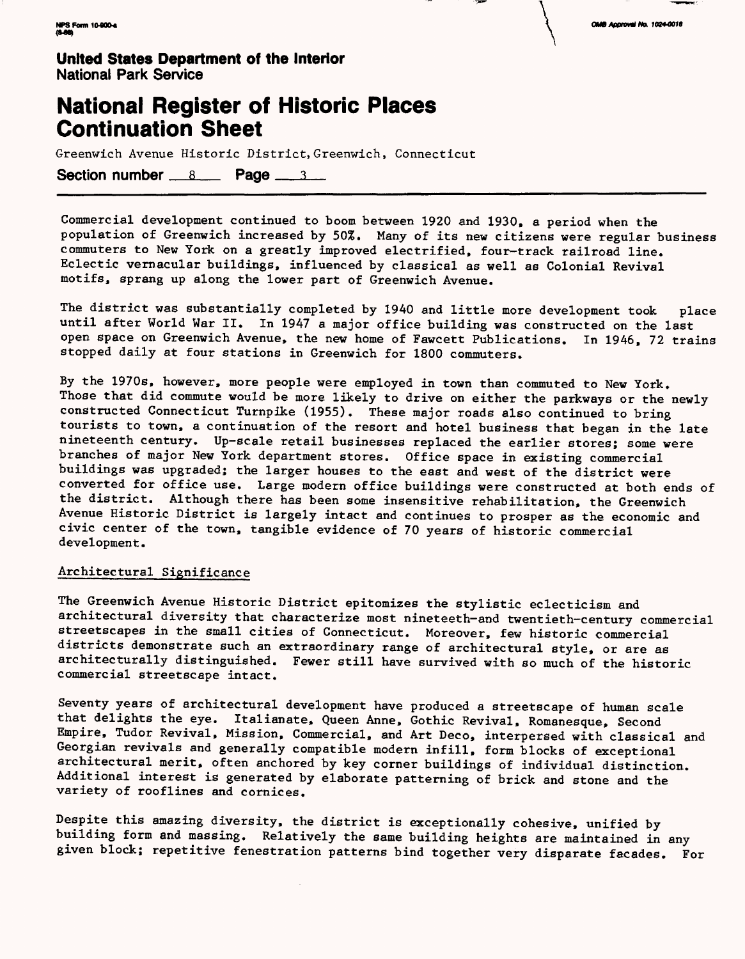



### **National Register of Historic Places Continuation Sheet**

Greenwich Avenue Historic District, Greenwich, Connecticut

Section number  $8 \times$  Page  $3 \times 3$ 

Commercial development continued to boom between 1920 and 1930, a period when the population of Greenwich increased by 50%. Many of its new citizens were regular business commuters to New York on a greatly improved electrified, four-track railroad line, Eclectic vernacular buildings, influenced by classical as well as Colonial Revival motifs, sprang up along the lower part of Greenwich Avenue.

The district was substantially completed by 1940 and little more development took place until after World War II. In 1947 a major office building was constructed on the last open space on Greenwich Avenue, the new home of Fawcett Publications. In 1946, 72 trains stopped daily at four stations in Greenwich for 1800 commuters.

By the 1970s, however, more people were employed in town than commuted to New York. Those that did commute would be more likely to drive on either the parkways or the newly constructed Connecticut Turnpike (1955). These major roads also continued to bring tourists to town, a continuation of the resort and hotel business that began in the late nineteenth century. Up-scale retail businesses replaced the earlier stores; some were branches of major New York department stores. Office space in existing commercial buildings was upgraded; the larger houses to the east and west of the district were converted for office use. Large modern office buildings were constructed at both ends of the district. Although there has been some insensitive rehabilitation, the Greenwich Avenue Historic District is largely intact and continues to prosper as the economic and civic center of the town, tangible evidence of 70 years of historic commercial development.

#### Architectural Significance

The Greenwich Avenue Historic District epitomizes the stylistic eclecticism and architectural diversity that characterize most nineteeth-and twentieth-century commercial streetscapes in the small cities of Connecticut, Moreover, few historic commercial districts demonstrate such an extraordinary range of architectural style, or are as architecturally distinguished. Fewer still have survived with so much of the historic commercial streetscape intact.

Seventy years of architectural development have produced a streetscape of human scale that delights the eye. Italianate, Queen Anne, Gothic Revival, Romanesque, Second Empire, Tudor Revival, Mission, Commercial, and Art Deco, interpersed with classical and Georgian revivals and generally compatible modern infill, form blocks of exceptional architectural merit, often anchored by key comer buildings of individual distinction. Additional interest is generated by elaborate patterning of brick and stone and the variety of rooflines and cornices.

Despite this amazing diversity, the district is exceptionally cohesive, unified by building form and massing. Relatively the same building heights are maintained in any given block; repetitive fenestration patterns bind together very disparate facades. For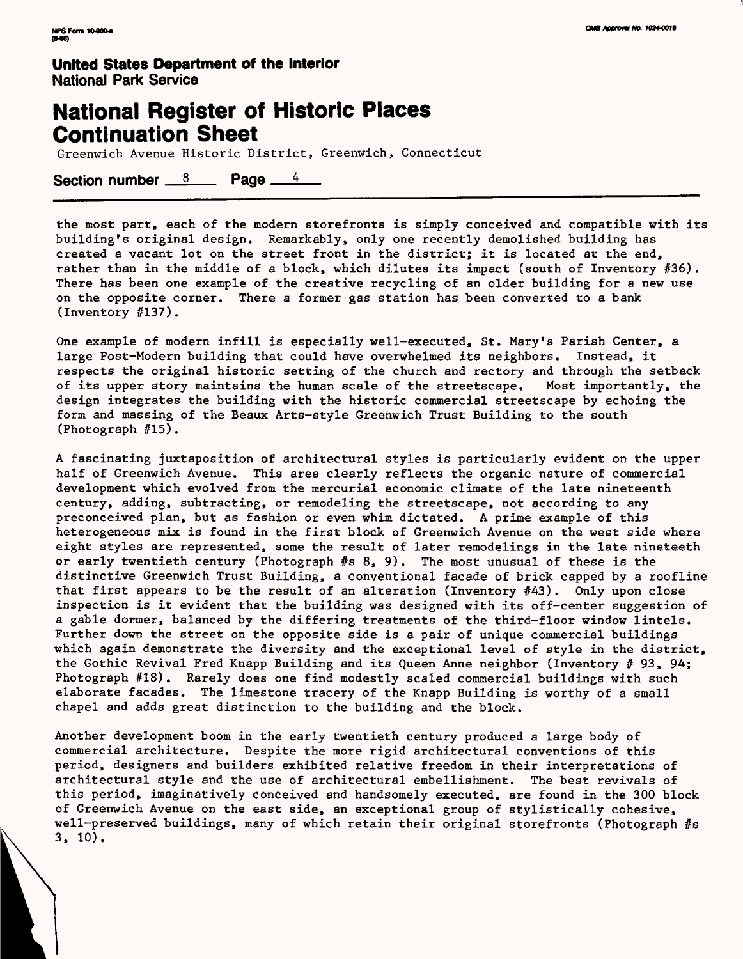### **National Register of Historic Places Continuation Sheet**

Greenwich Avenue Historic District, Greenwich, Connecticut

Section number  $8$  Page  $4$ 

the most part, each of the modern storefronts is simply conceived and compatible with its building's original design. Remarkably, only one recently demolished building has created a vacant lot on the street front in the district; it is located at the end, rather than in the middle of a block, which dilutes its impact (south of Inventory #36) . There has been one example of the creative recycling of an older building for a new use on the opposite corner. There a former gas station has been converted to a bank (Inventory #137) .

One example of modern infill is especially well-executed, St. Mary's Parish Center, a large Post-Modern building that could have overwhelmed its neighbors. Instead, it respects the original historic setting of the church and rectory and through the setback of its upper story maintains the human scale of the streetscape. Most importantly, the design integrates the building with the historic commercial streetscape by echoing the form and massing of the Beaux Arts-style Greenwich Trust Building to the south (Photograph #15).

A fascinating juxtaposition of architectural styles is particularly evident on the upper half of Greenwich Avenue. This area clearly reflects the organic nature of commercial development which evolved from the mercurial economic climate of the late nineteenth century, adding, subtracting, or remodeling the streetscape, not according to any preconceived plan, but as fashion or even whim dictated. A prime example of this heterogeneous mix is found in the first block of Greenwich Avenue on the west side where eight styles are represented, some the result of later remodelings in the late nineteeth or early twentieth century (Photograph #s 8, 9) . The most unusual of these is the distinctive Greenwich Trust Building, a conventional facade of brick capped by a roofline that first appears to be the result of an alteration (Inventory  $#43$ ). Only upon close inspection is it evident that the building was designed with its off-center suggestion of a gable dormer, balanced by the differing treatments of the third-floor window lintels. Further down the street on the opposite side is a pair of unique commercial buildings which again demonstrate the diversity and the exceptional level of style in the district, the Gothic Revival Fred Knapp Building and its Queen Anne neighbor (Inventory # 93, 94; Photograph #18) . Rarely does one find modestly scaled commercial buildings with such elaborate facades. The limestone tracery of the Knapp Building is worthy of a small chapel and adds great distinction to the building and the block.

Another development boom in the early twentieth century produced a large body of commercial architecture. Despite the more rigid architectural conventions of this period, designers and builders exhibited relative freedom in their interpretations of architectural style and the use of architectural embellishment. The best revivals of this period, imaginatively conceived and handsomely executed, are found in the 300 block of Greenwich Avenue on the east side, an exceptional group of stylistically cohesive, well-preserved buildings, many of which retain their original storefronts (Photograph #s 3, 10).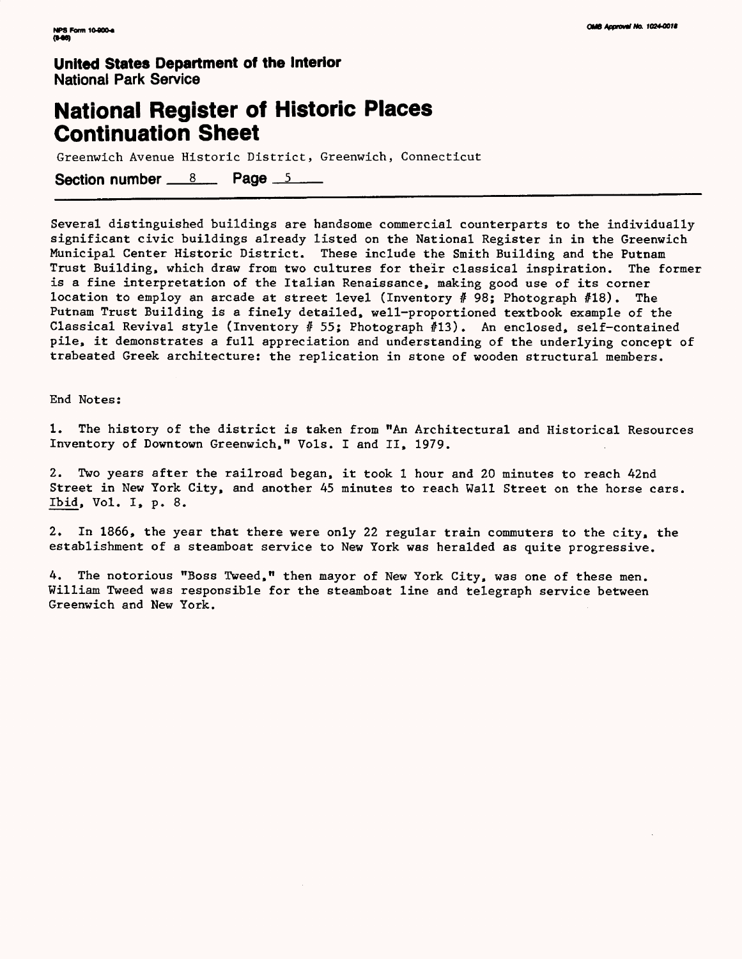### **National Register of Historic Places Continuation Sheet**

Greenwich Avenue Historic District, Greenwich, Connecticut

Section number  $8 \times 8$  Page  $5 \times 1$ 

Several distinguished buildings are handsome commercial counterparts to the individually significant civic buildings already listed on the National Register in in the Greenwich Municipal Center Historic District. These include the Smith Building and the Putnam Trust Building, which draw from two cultures for their classical inspiration. The former is a fine interpretation of the Italian Renaissance, making good use of its corner location to employ an arcade at street level (Inventory # 98; Photograph #18). The Putnam Trust Building is a finely detailed, well-proportioned textbook example of the Classical Revival style (Inventory # 55; Photograph #13). An enclosed, self-contained pile, it demonstrates a full appreciation and understanding of the underlying concept of trabeated Greek architecture: the replication in stone of wooden structural members.

End Notes:

1. The history of the district is taken from "An Architectural and Historical Resources Inventory of Downtown Greenwich," Vols. I and II, 1979.

2. Two years after the railroad began, it took 1 hour and 20 minutes to reach 42nd Street in New York City, and another 45 minutes to reach Wall Street on the horse cars. Ibid, Vol. I, p. 8.

2. In 1866, the year that there were only 22 regular train commuters to the city, the establishment of a steamboat service to New York was heralded as quite progressive.

4. The notorious "Boss Tweed," then mayor of New York City, was one of these men. William Tweed was responsible for the steamboat line and telegraph service between Greenwich and New York.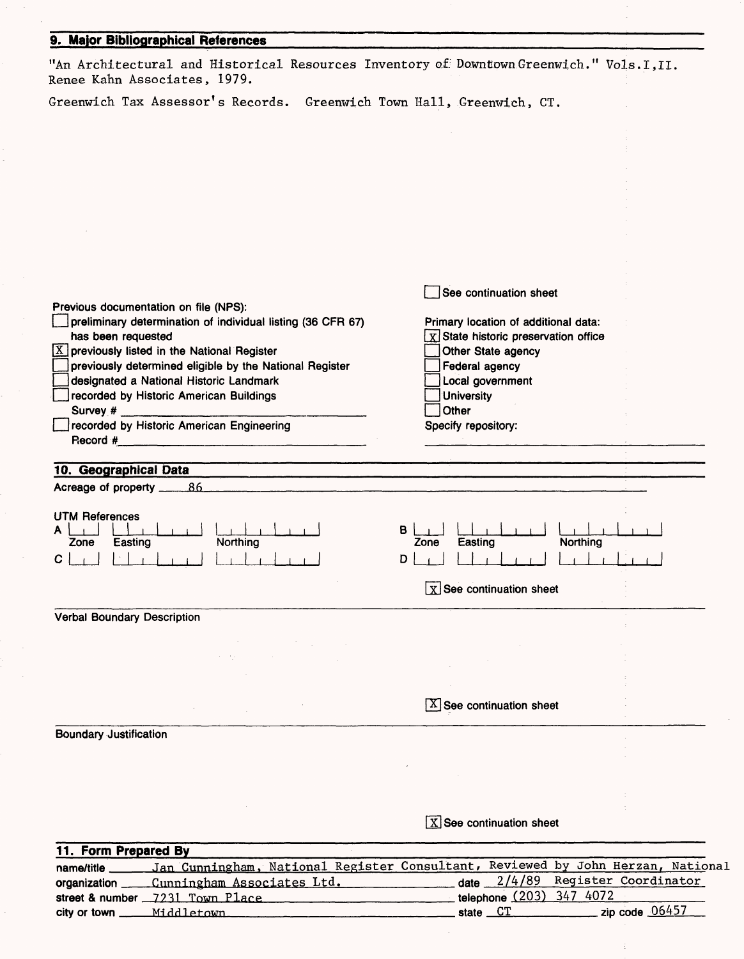| 9. Major Bibliographical References                                                                                                 |                                                                                                                      |
|-------------------------------------------------------------------------------------------------------------------------------------|----------------------------------------------------------------------------------------------------------------------|
| "An Architectural and Historical Resources Inventory of Downtown Greenwich." Vols.I, II.<br>Renee Kahn Associates, 1979.            |                                                                                                                      |
| Greenwich Tax Assessor's Records. Greenwich Town Hall, Greenwich, CT.                                                               |                                                                                                                      |
|                                                                                                                                     |                                                                                                                      |
|                                                                                                                                     |                                                                                                                      |
|                                                                                                                                     |                                                                                                                      |
|                                                                                                                                     |                                                                                                                      |
|                                                                                                                                     |                                                                                                                      |
|                                                                                                                                     |                                                                                                                      |
| Previous documentation on file (NPS):                                                                                               | See continuation sheet                                                                                               |
| preliminary determination of individual listing (36 CFR 67)<br>has been requested<br>$X$ previously listed in the National Register | Primary location of additional data:<br>$\boldsymbol{\chi}$ State historic preservation office<br>Other State agency |
| previously determined eligible by the National Register<br>designated a National Historic Landmark                                  | <b>Federal agency</b><br>Local government                                                                            |
| recorded by Historic American Buildings                                                                                             | <b>University</b>                                                                                                    |
| Survey #<br>recorded by Historic American Engineering                                                                               | Other<br>Specify repository:                                                                                         |
|                                                                                                                                     |                                                                                                                      |
| 10. Geographical Data<br>Acreage of property ______86                                                                               |                                                                                                                      |
| <b>UTM References</b>                                                                                                               |                                                                                                                      |
| Northing<br>Easting<br>Zone<br>C                                                                                                    | в<br>Easting<br><b>Northing</b><br>Zone<br>D                                                                         |
|                                                                                                                                     | $\boxed{\text{X}}$ See continuation sheet                                                                            |
| <b>Verbal Boundary Description</b>                                                                                                  |                                                                                                                      |
|                                                                                                                                     |                                                                                                                      |
|                                                                                                                                     |                                                                                                                      |
|                                                                                                                                     | $[X]$ See continuation sheet                                                                                         |
| <b>Boundary Justification</b>                                                                                                       |                                                                                                                      |
|                                                                                                                                     |                                                                                                                      |
|                                                                                                                                     |                                                                                                                      |

 $\bar{z}$ 

 $\bar{\phantom{a}}$ 

**See continuation sheet**

 $\mathcal{L}$ 

 $\ddot{\ddot{\mathrm{i}}}$ 

| 11. Form Prepared By |                                                                                                  |                                      |
|----------------------|--------------------------------------------------------------------------------------------------|--------------------------------------|
|                      | name/title _____ Jan Cunningham, National Register Consultant, Reviewed by John Herzan, National |                                      |
|                      | organization _____ Cunningham Associates Ltd.                                                    | $data = 2/4/89$ Register Coordinator |
|                      | street & number _7231 Town Place                                                                 | telephone (203) 347 4072             |
|                      | city or town _______ Middletown                                                                  | state $CT$ zip code $06457$          |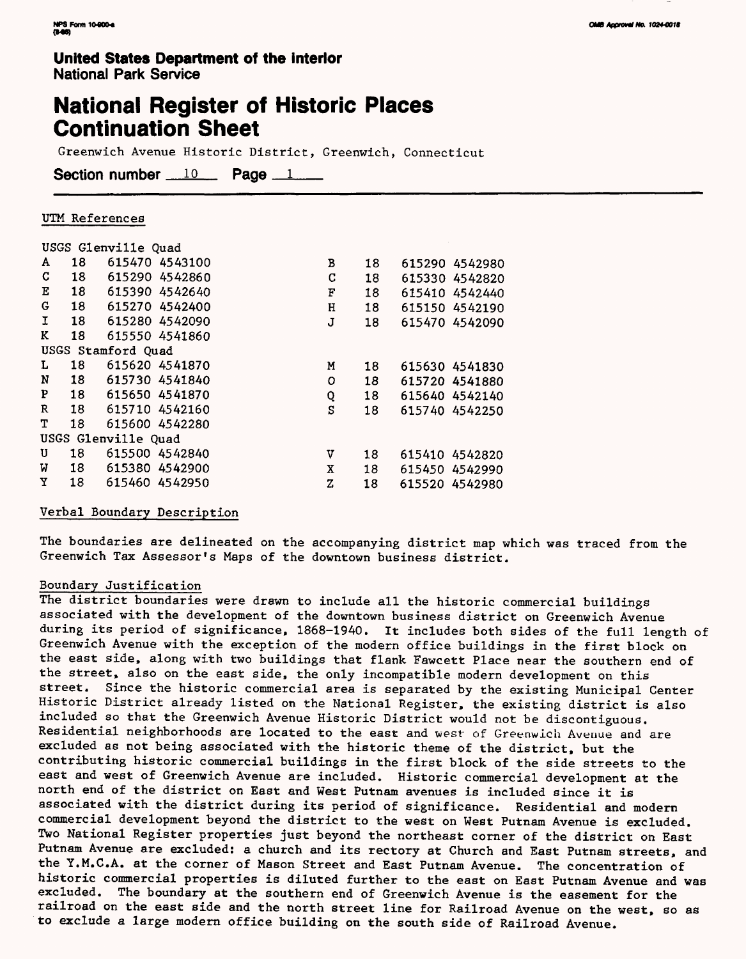## **National Register of Historic Places Continuation Sheet**

Greenwich Avenue Historic District, Greenwich, Connecticut

Section number  $10$  Page  $1$ 

#### UTM References

|           |    | USGS Glenville Quad |             |    |                |
|-----------|----|---------------------|-------------|----|----------------|
| A         | 18 | 615470 4543100      | В           | 18 | 615290 4542980 |
| C         | 18 | 615290 4542860      | C           | 18 | 615330 4542820 |
| Е         | 18 | 615390 4542640      | F           | 18 | 615410 4542440 |
| G         | 18 | 615270 4542400      | $\bf H$     | 18 | 615150 4542190 |
| I.        | 18 | 615280 4542090      | J           | 18 | 615470 4542090 |
| K         | 18 | 615550 4541860      |             |    |                |
|           |    | USGS Stamford Quad  |             |    |                |
| L         | 18 | 615620 4541870      | M           | 18 | 615630 4541830 |
| ${\bf N}$ | 18 | 615730 4541840      | $\mathbf O$ | 18 | 615720 4541880 |
| P         | 18 | 615650 4541870      | Q           | 18 | 615640 4542140 |
| R         | 18 | 615710 4542160      | S           | 18 | 615740 4542250 |
| т         | 18 | 615600 4542280      |             |    |                |
|           |    | USGS Glenville Quad |             |    |                |
| U         | 18 | 615500 4542840      | v           | 18 | 615410 4542820 |
| W         | 18 | 615380 4542900      | x           | 18 | 615450 4542990 |
| Y         | 18 | 615460 4542950      | Z           | 18 | 615520 4542980 |

#### Verbal Boundary Description

The boundaries are delineated on the accompanying district map which was traced from the Greenwich Tax Assessor's Maps of the downtown business district.

#### Boundary Justification

The district boundaries were drawn to include all the historic commercial buildings associated with the development of the downtown business district on Greenwich Avenue during its period of significance, 1868-1940. It includes both sides of the full length of Greenwich Avenue with the exception of the modern office buildings in the first block on the east side, along with two buildings that flank Fawcett Place near the southern end of the street, also on the east side, the only incompatible modern development on this street. Since the historic commercial area is separated by the existing Municipal Center Historic District already listed on the National Register, the existing district is also included so that the Greenwich Avenue Historic District would not be discontiguous. Residential neighborhoods are located to the east and west of Greenwich Avenue and are excluded as not being associated with the historic theme of the district, but the contributing historic commercial buildings in the first block of the side streets to the east and west of Greenwich Avenue are included. Historic commercial development at the north end of the district on East and West Putnam avenues is included since it is associated with the district during its period of significance. Residential and modern commercial development beyond the district to the west on West Putnam Avenue is excluded. Two National Register properties just beyond the northeast corner of the district on East Putnam Avenue are excluded: a church and its rectory at Church and East Putnam streets, and the Y.M.C.A. at the corner of Mason Street and East Putnam Avenue. The concentration of historic commercial properties is diluted further to the east on East Putnam Avenue and was excluded. The boundary at the southern end of Greenwich Avenue is the easement for the railroad on the east side and the north street line for Railroad Avenue on the west, so as to exclude a large modern office building on the south side of Railroad Avenue.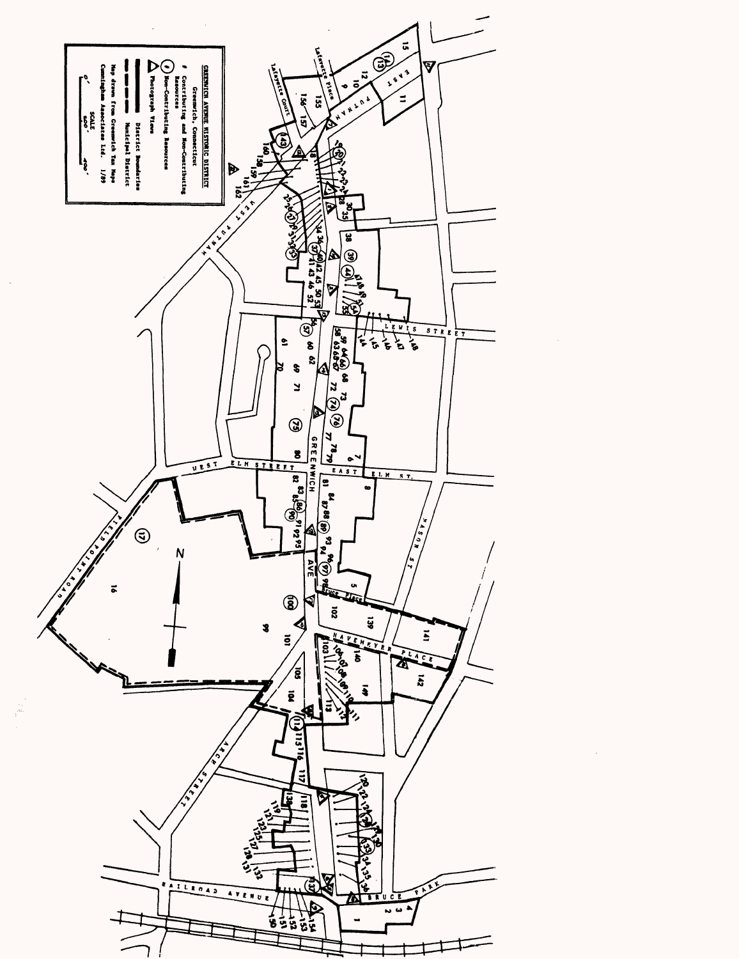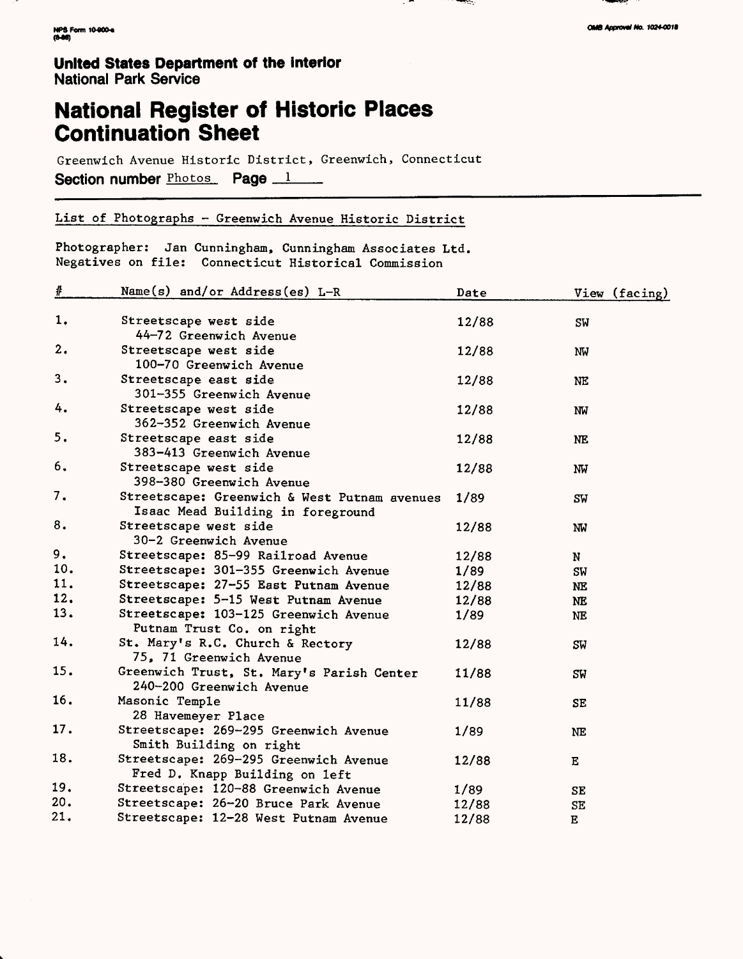v.

#### **United States Department of the Interior** National Park Service

## **National Register of Historic Places Continuation Sheet**

Greenwich Avenue Historic District, Greenwich, Connecticut Section number Photos Page 1

#### List of Photographs - Greenwich Avenue Historic District

Photographer: Jan Cunningham, Cunningham Associates Ltd. Negatives on file: Connecticut Historical Commission

| $\pmb{\#}$ | Name(s) and/or Address(es) L-R                                                    | Date  | View (facing)       |
|------------|-----------------------------------------------------------------------------------|-------|---------------------|
| 1.         | Streetscape west side                                                             | 12/88 | SW                  |
| 2.         | 44-72 Greenwich Avenue<br>Streetscape west side<br>100-70 Greenwich Avenue        | 12/88 | NW                  |
| 3.         | Streetscape east side<br>301-355 Greenwich Avenue                                 | 12/88 | NE                  |
| 4.         | Streetscape west side<br>362-352 Greenwich Avenue                                 | 12/88 | NW                  |
| 5.         | Streetscape east side<br>383-413 Greenwich Avenue                                 | 12/88 | <b>NE</b>           |
| 6.         | Streetscape west side<br>398-380 Greenwich Avenue                                 | 12/88 | NW                  |
| 7.         | Streetscape: Greenwich & West Putnam avenues<br>Isaac Mead Building in foreground | 1/89  | SW                  |
| 8.         | Streetscape west side<br>30-2 Greenwich Avenue                                    | 12/88 | NW                  |
| 9.         | Streetscape: 85-99 Railroad Avenue                                                | 12/88 | N                   |
| 10.        | Streetscape: 301-355 Greenwich Avenue                                             | 1/89  | SW                  |
| 11.        | Streetscape: 27-55 East Putnam Avenue                                             | 12/88 | NE                  |
| 12.        | Streetscape: 5-15 West Putnam Avenue                                              | 12/88 | NE.                 |
| 13.        | Streetscape: 103-125 Greenwich Avenue<br>Putnam Trust Co. on right                | 1/89  | <b>NE</b>           |
| 14.        | St. Mary's R.C. Church & Rectory<br>75, 71 Greenwich Avenue                       | 12/88 | SW                  |
| 15.        | Greenwich Trust, St. Mary's Parish Center<br>240-200 Greenwich Avenue             | 11/88 | SW                  |
| 16.        | Masonic Temple<br>28 Havemeyer Place                                              | 11/88 | SE                  |
| 17.        | Streetscape: 269-295 Greenwich Avenue<br>Smith Building on right                  | 1/89  | <b>NE</b>           |
| 18.        | Streetscape: 269-295 Greenwich Avenue<br>Fred D. Knapp Building on left           | 12/88 | Е                   |
| 19.        | Streetscape: 120-88 Greenwich Avenue                                              | 1/89  | SE                  |
| 20.        | Streetscape: 26-20 Bruce Park Avenue                                              | 12/88 | $\operatorname{SE}$ |
| 21.        | Streetscape: 12-28 West Putnam Avenue                                             | 12/88 | $\bf E$             |

, బాబ

्राज्यस्य अ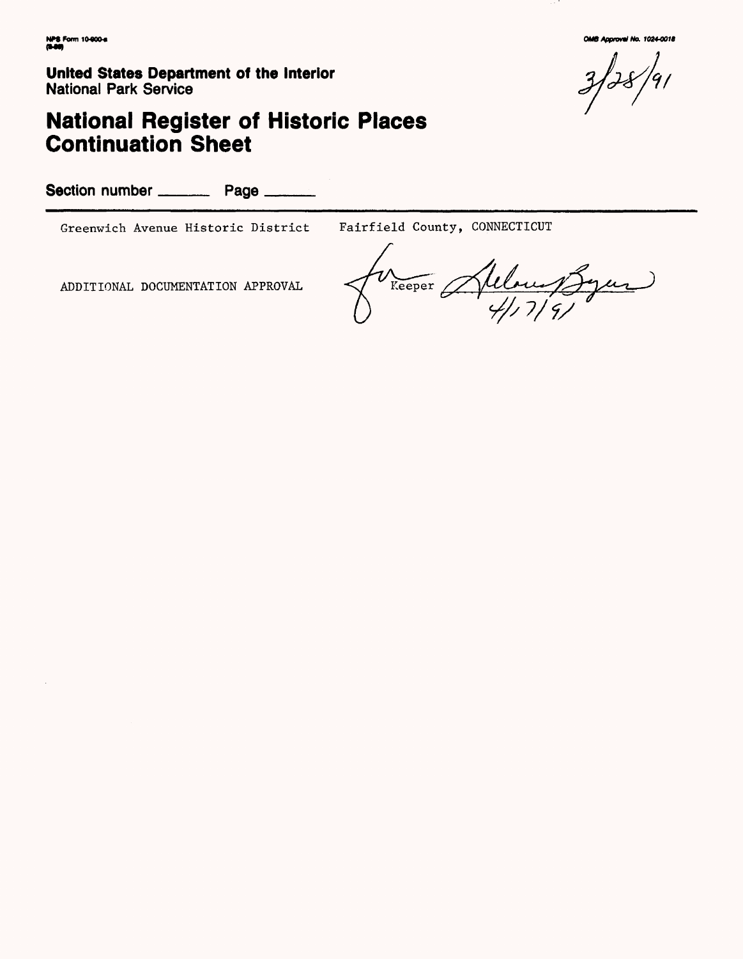# **National Register of Historic Places Continuation Sheet**

Section number \_\_\_\_\_\_\_\_ Page \_\_\_\_

Greenwich Avenue Historic District Fairfield County, CONNECTICUT

ADDITIONAL DOCUMENTATION APPROVAL  $\sqrt{\frac{v_{\text{Keeper}}}{v_{\text{Keeper}}}}$